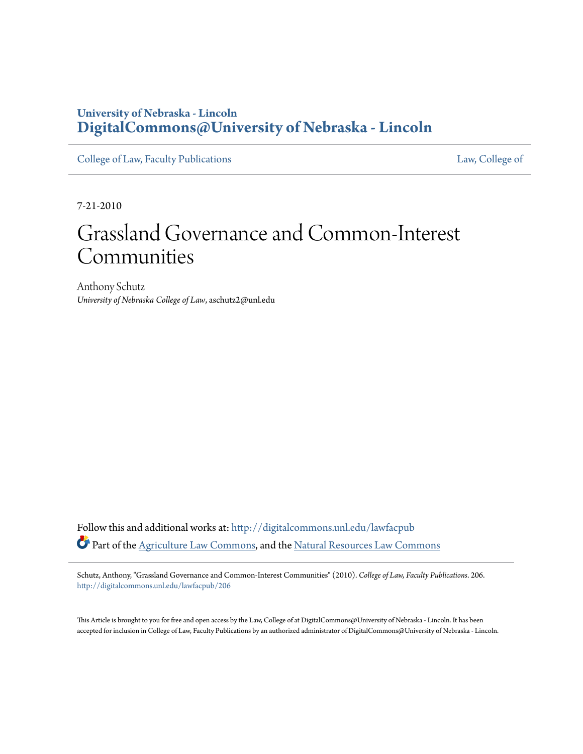### **University of Nebraska - Lincoln [DigitalCommons@University of Nebraska - Lincoln](http://digitalcommons.unl.edu?utm_source=digitalcommons.unl.edu%2Flawfacpub%2F206&utm_medium=PDF&utm_campaign=PDFCoverPages)**

[College of Law, Faculty Publications](http://digitalcommons.unl.edu/lawfacpub?utm_source=digitalcommons.unl.edu%2Flawfacpub%2F206&utm_medium=PDF&utm_campaign=PDFCoverPages) [Law, College of](http://digitalcommons.unl.edu/law?utm_source=digitalcommons.unl.edu%2Flawfacpub%2F206&utm_medium=PDF&utm_campaign=PDFCoverPages) Law, College of

7-21-2010

# Grassland Governance and Common-Interest Communities

Anthony Schutz *University of Nebraska College of Law*, aschutz2@unl.edu

Follow this and additional works at: [http://digitalcommons.unl.edu/lawfacpub](http://digitalcommons.unl.edu/lawfacpub?utm_source=digitalcommons.unl.edu%2Flawfacpub%2F206&utm_medium=PDF&utm_campaign=PDFCoverPages) Part of the [Agriculture Law Commons](http://network.bepress.com/hgg/discipline/581?utm_source=digitalcommons.unl.edu%2Flawfacpub%2F206&utm_medium=PDF&utm_campaign=PDFCoverPages), and the [Natural Resources Law Commons](http://network.bepress.com/hgg/discipline/863?utm_source=digitalcommons.unl.edu%2Flawfacpub%2F206&utm_medium=PDF&utm_campaign=PDFCoverPages)

Schutz, Anthony, "Grassland Governance and Common-Interest Communities" (2010). *College of Law, Faculty Publications*. 206. [http://digitalcommons.unl.edu/lawfacpub/206](http://digitalcommons.unl.edu/lawfacpub/206?utm_source=digitalcommons.unl.edu%2Flawfacpub%2F206&utm_medium=PDF&utm_campaign=PDFCoverPages)

This Article is brought to you for free and open access by the Law, College of at DigitalCommons@University of Nebraska - Lincoln. It has been accepted for inclusion in College of Law, Faculty Publications by an authorized administrator of DigitalCommons@University of Nebraska - Lincoln.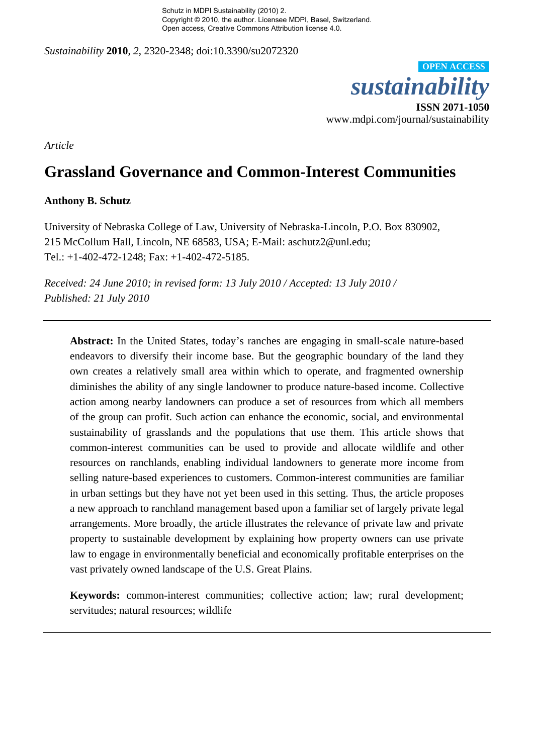Schutz in MDPI Sustainability (2010) 2. Copyright © 2010, the author. Licensee MDPI, Basel, Switzerland. Open access, Creative Commons Attribution license 4.0.

*Sustainability* **2010**, *2*, 2320-2348; doi:10.3390/su2072320



*Article* 

## **Grassland Governance and Common-Interest Communities**

#### **Anthony B. Schutz**

University of Nebraska College of Law, University of Nebraska-Lincoln, P.O. Box 830902, 215 McCollum Hall, Lincoln, NE 68583, USA; E-Mail: aschutz2@unl.edu; Tel.: +1-402-472-1248; Fax: +1-402-472-5185.

*Received: 24 June 2010; in revised form: 13 July 2010 / Accepted: 13 July 2010 / Published: 21 July 2010*

**Abstract:** In the United States, today's ranches are engaging in small-scale nature-based endeavors to diversify their income base. But the geographic boundary of the land they own creates a relatively small area within which to operate, and fragmented ownership diminishes the ability of any single landowner to produce nature-based income. Collective action among nearby landowners can produce a set of resources from which all members of the group can profit. Such action can enhance the economic, social, and environmental sustainability of grasslands and the populations that use them. This article shows that common-interest communities can be used to provide and allocate wildlife and other resources on ranchlands, enabling individual landowners to generate more income from selling nature-based experiences to customers. Common-interest communities are familiar in urban settings but they have not yet been used in this setting. Thus, the article proposes a new approach to ranchland management based upon a familiar set of largely private legal arrangements. More broadly, the article illustrates the relevance of private law and private property to sustainable development by explaining how property owners can use private law to engage in environmentally beneficial and economically profitable enterprises on the vast privately owned landscape of the U.S. Great Plains.

**Keywords:** common-interest communities; collective action; law; rural development; servitudes; natural resources; wildlife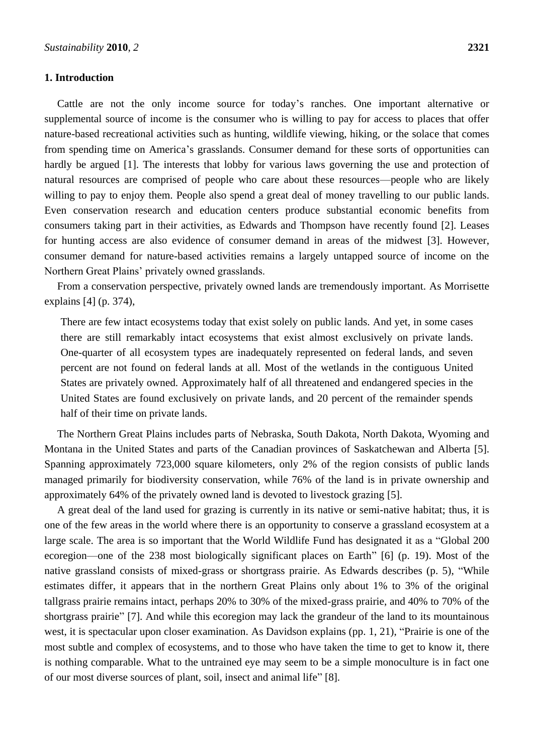#### **1. Introduction**

Cattle are not the only income source for today's ranches. One important alternative or supplemental source of income is the consumer who is willing to pay for access to places that offer nature-based recreational activities such as hunting, wildlife viewing, hiking, or the solace that comes from spending time on America's grasslands. Consumer demand for these sorts of opportunities can hardly be argued [1]. The interests that lobby for various laws governing the use and protection of natural resources are comprised of people who care about these resources—people who are likely willing to pay to enjoy them. People also spend a great deal of money travelling to our public lands. Even conservation research and education centers produce substantial economic benefits from consumers taking part in their activities, as Edwards and Thompson have recently found [2]. Leases for hunting access are also evidence of consumer demand in areas of the midwest [3]. However, consumer demand for nature-based activities remains a largely untapped source of income on the Northern Great Plains' privately owned grasslands.

From a conservation perspective, privately owned lands are tremendously important. As Morrisette explains [4] (p. 374),

There are few intact ecosystems today that exist solely on public lands. And yet, in some cases there are still remarkably intact ecosystems that exist almost exclusively on private lands. One-quarter of all ecosystem types are inadequately represented on federal lands, and seven percent are not found on federal lands at all. Most of the wetlands in the contiguous United States are privately owned. Approximately half of all threatened and endangered species in the United States are found exclusively on private lands, and 20 percent of the remainder spends half of their time on private lands.

The Northern Great Plains includes parts of Nebraska, South Dakota, North Dakota, Wyoming and Montana in the United States and parts of the Canadian provinces of Saskatchewan and Alberta [5]. Spanning approximately 723,000 square kilometers, only 2% of the region consists of public lands managed primarily for biodiversity conservation, while 76% of the land is in private ownership and approximately 64% of the privately owned land is devoted to livestock grazing [5].

A great deal of the land used for grazing is currently in its native or semi-native habitat; thus, it is one of the few areas in the world where there is an opportunity to conserve a grassland ecosystem at a large scale. The area is so important that the World Wildlife Fund has designated it as a "Global 200 ecoregion—one of the 238 most biologically significant places on Earth" [6] (p. 19). Most of the native grassland consists of mixed-grass or shortgrass prairie. As Edwards describes (p. 5), "While estimates differ, it appears that in the northern Great Plains only about 1% to 3% of the original tallgrass prairie remains intact, perhaps 20% to 30% of the mixed-grass prairie, and 40% to 70% of the shortgrass prairie" [7]. And while this ecoregion may lack the grandeur of the land to its mountainous west, it is spectacular upon closer examination. As Davidson explains (pp. 1, 21), "Prairie is one of the most subtle and complex of ecosystems, and to those who have taken the time to get to know it, there is nothing comparable. What to the untrained eye may seem to be a simple monoculture is in fact one of our most diverse sources of plant, soil, insect and animal life" [8].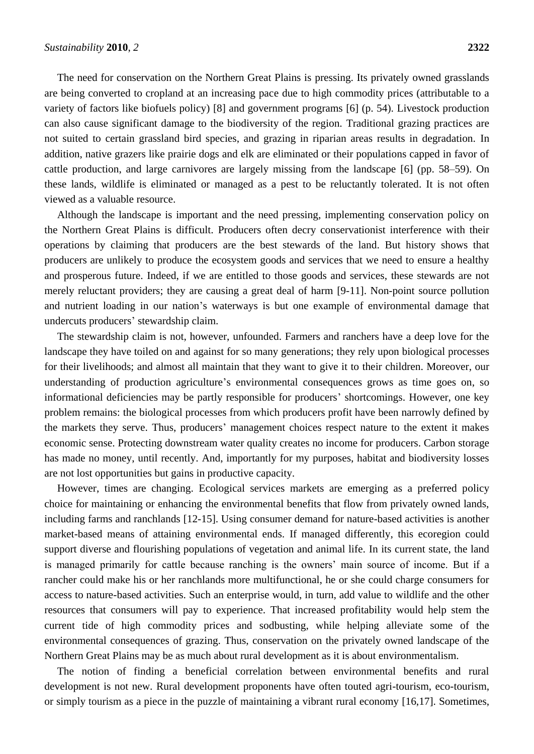The need for conservation on the Northern Great Plains is pressing. Its privately owned grasslands are being converted to cropland at an increasing pace due to high commodity prices (attributable to a variety of factors like biofuels policy) [8] and government programs [6] (p. 54). Livestock production can also cause significant damage to the biodiversity of the region. Traditional grazing practices are not suited to certain grassland bird species, and grazing in riparian areas results in degradation. In addition, native grazers like prairie dogs and elk are eliminated or their populations capped in favor of cattle production, and large carnivores are largely missing from the landscape [6] (pp. 58–59). On these lands, wildlife is eliminated or managed as a pest to be reluctantly tolerated. It is not often viewed as a valuable resource.

Although the landscape is important and the need pressing, implementing conservation policy on the Northern Great Plains is difficult. Producers often decry conservationist interference with their operations by claiming that producers are the best stewards of the land. But history shows that producers are unlikely to produce the ecosystem goods and services that we need to ensure a healthy and prosperous future. Indeed, if we are entitled to those goods and services, these stewards are not merely reluctant providers; they are causing a great deal of harm [9-11]. Non-point source pollution and nutrient loading in our nation's waterways is but one example of environmental damage that undercuts producers' stewardship claim.

The stewardship claim is not, however, unfounded. Farmers and ranchers have a deep love for the landscape they have toiled on and against for so many generations; they rely upon biological processes for their livelihoods; and almost all maintain that they want to give it to their children. Moreover, our understanding of production agriculture's environmental consequences grows as time goes on, so informational deficiencies may be partly responsible for producers' shortcomings. However, one key problem remains: the biological processes from which producers profit have been narrowly defined by the markets they serve. Thus, producers' management choices respect nature to the extent it makes economic sense. Protecting downstream water quality creates no income for producers. Carbon storage has made no money, until recently. And, importantly for my purposes, habitat and biodiversity losses are not lost opportunities but gains in productive capacity.

However, times are changing. Ecological services markets are emerging as a preferred policy choice for maintaining or enhancing the environmental benefits that flow from privately owned lands, including farms and ranchlands [12-15]. Using consumer demand for nature-based activities is another market-based means of attaining environmental ends. If managed differently, this ecoregion could support diverse and flourishing populations of vegetation and animal life. In its current state, the land is managed primarily for cattle because ranching is the owners' main source of income. But if a rancher could make his or her ranchlands more multifunctional, he or she could charge consumers for access to nature-based activities. Such an enterprise would, in turn, add value to wildlife and the other resources that consumers will pay to experience. That increased profitability would help stem the current tide of high commodity prices and sodbusting, while helping alleviate some of the environmental consequences of grazing. Thus, conservation on the privately owned landscape of the Northern Great Plains may be as much about rural development as it is about environmentalism.

The notion of finding a beneficial correlation between environmental benefits and rural development is not new. Rural development proponents have often touted agri-tourism, eco-tourism, or simply tourism as a piece in the puzzle of maintaining a vibrant rural economy [16,17]. Sometimes,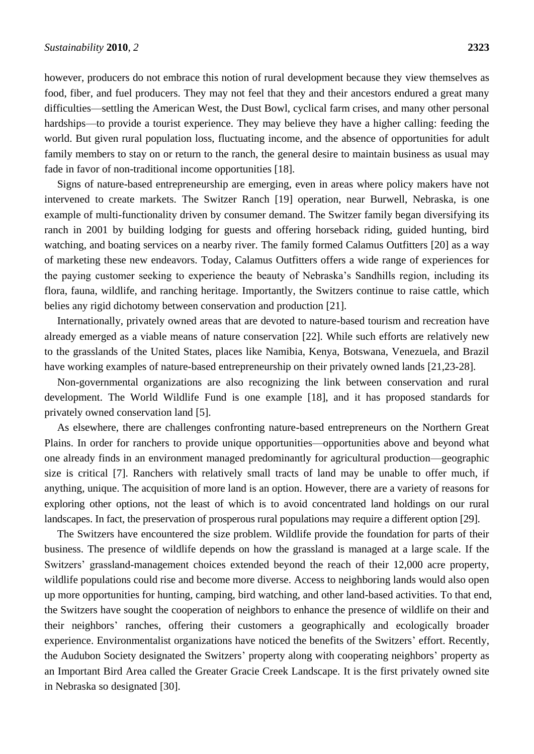however, producers do not embrace this notion of rural development because they view themselves as food, fiber, and fuel producers. They may not feel that they and their ancestors endured a great many difficulties—settling the American West, the Dust Bowl, cyclical farm crises, and many other personal hardships—to provide a tourist experience. They may believe they have a higher calling: feeding the world. But given rural population loss, fluctuating income, and the absence of opportunities for adult family members to stay on or return to the ranch, the general desire to maintain business as usual may fade in favor of non-traditional income opportunities [18].

Signs of nature-based entrepreneurship are emerging, even in areas where policy makers have not intervened to create markets. The Switzer Ranch [19] operation, near Burwell, Nebraska, is one example of multi-functionality driven by consumer demand. The Switzer family began diversifying its ranch in 2001 by building lodging for guests and offering horseback riding, guided hunting, bird watching, and boating services on a nearby river. The family formed Calamus Outfitters [20] as a way of marketing these new endeavors. Today, Calamus Outfitters offers a wide range of experiences for the paying customer seeking to experience the beauty of Nebraska's Sandhills region, including its flora, fauna, wildlife, and ranching heritage. Importantly, the Switzers continue to raise cattle, which belies any rigid dichotomy between conservation and production [21].

Internationally, privately owned areas that are devoted to nature-based tourism and recreation have already emerged as a viable means of nature conservation [22]. While such efforts are relatively new to the grasslands of the United States, places like Namibia, Kenya, Botswana, Venezuela, and Brazil have working examples of nature-based entrepreneurship on their privately owned lands [21,23-28].

Non-governmental organizations are also recognizing the link between conservation and rural development. The World Wildlife Fund is one example [18], and it has proposed standards for privately owned conservation land [5].

As elsewhere, there are challenges confronting nature-based entrepreneurs on the Northern Great Plains. In order for ranchers to provide unique opportunities—opportunities above and beyond what one already finds in an environment managed predominantly for agricultural production—geographic size is critical [7]. Ranchers with relatively small tracts of land may be unable to offer much, if anything, unique. The acquisition of more land is an option. However, there are a variety of reasons for exploring other options, not the least of which is to avoid concentrated land holdings on our rural landscapes. In fact, the preservation of prosperous rural populations may require a different option [29].

The Switzers have encountered the size problem. Wildlife provide the foundation for parts of their business. The presence of wildlife depends on how the grassland is managed at a large scale. If the Switzers' grassland-management choices extended beyond the reach of their 12,000 acre property, wildlife populations could rise and become more diverse. Access to neighboring lands would also open up more opportunities for hunting, camping, bird watching, and other land-based activities. To that end, the Switzers have sought the cooperation of neighbors to enhance the presence of wildlife on their and their neighbors' ranches, offering their customers a geographically and ecologically broader experience. Environmentalist organizations have noticed the benefits of the Switzers' effort. Recently, the Audubon Society designated the Switzers' property along with cooperating neighbors' property as an Important Bird Area called the Greater Gracie Creek Landscape. It is the first privately owned site in Nebraska so designated [30].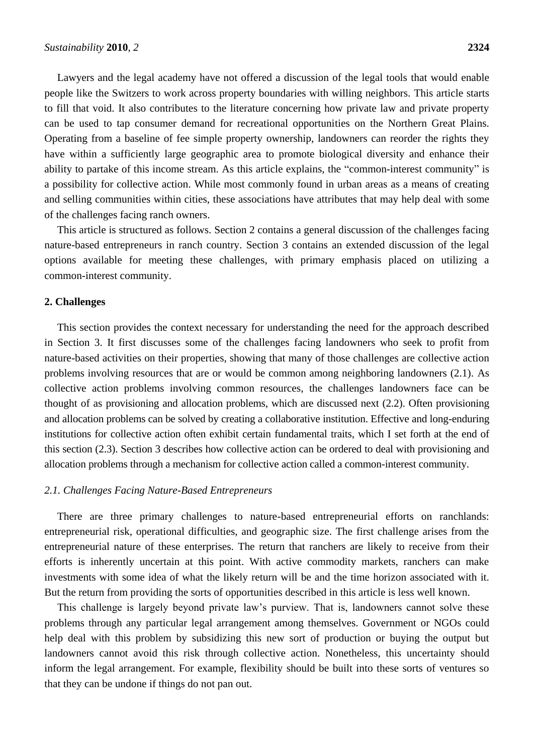Lawyers and the legal academy have not offered a discussion of the legal tools that would enable people like the Switzers to work across property boundaries with willing neighbors. This article starts to fill that void. It also contributes to the literature concerning how private law and private property can be used to tap consumer demand for recreational opportunities on the Northern Great Plains. Operating from a baseline of fee simple property ownership, landowners can reorder the rights they have within a sufficiently large geographic area to promote biological diversity and enhance their ability to partake of this income stream. As this article explains, the "common-interest community" is a possibility for collective action. While most commonly found in urban areas as a means of creating and selling communities within cities, these associations have attributes that may help deal with some of the challenges facing ranch owners.

This article is structured as follows. Section 2 contains a general discussion of the challenges facing nature-based entrepreneurs in ranch country. Section 3 contains an extended discussion of the legal options available for meeting these challenges, with primary emphasis placed on utilizing a common-interest community.

#### **2. Challenges**

This section provides the context necessary for understanding the need for the approach described in Section 3. It first discusses some of the challenges facing landowners who seek to profit from nature-based activities on their properties, showing that many of those challenges are collective action problems involving resources that are or would be common among neighboring landowners (2.1). As collective action problems involving common resources, the challenges landowners face can be thought of as provisioning and allocation problems, which are discussed next (2.2). Often provisioning and allocation problems can be solved by creating a collaborative institution. Effective and long-enduring institutions for collective action often exhibit certain fundamental traits, which I set forth at the end of this section (2.3). Section 3 describes how collective action can be ordered to deal with provisioning and allocation problems through a mechanism for collective action called a common-interest community.

#### *2.1. Challenges Facing Nature-Based Entrepreneurs*

There are three primary challenges to nature-based entrepreneurial efforts on ranchlands: entrepreneurial risk, operational difficulties, and geographic size. The first challenge arises from the entrepreneurial nature of these enterprises. The return that ranchers are likely to receive from their efforts is inherently uncertain at this point. With active commodity markets, ranchers can make investments with some idea of what the likely return will be and the time horizon associated with it. But the return from providing the sorts of opportunities described in this article is less well known.

This challenge is largely beyond private law's purview. That is, landowners cannot solve these problems through any particular legal arrangement among themselves. Government or NGOs could help deal with this problem by subsidizing this new sort of production or buying the output but landowners cannot avoid this risk through collective action. Nonetheless, this uncertainty should inform the legal arrangement. For example, flexibility should be built into these sorts of ventures so that they can be undone if things do not pan out.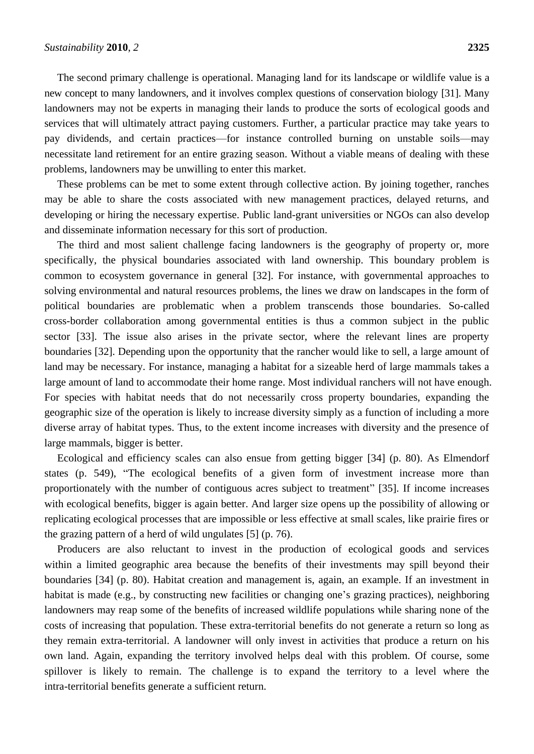The second primary challenge is operational. Managing land for its landscape or wildlife value is a new concept to many landowners, and it involves complex questions of conservation biology [31]. Many landowners may not be experts in managing their lands to produce the sorts of ecological goods and services that will ultimately attract paying customers. Further, a particular practice may take years to pay dividends, and certain practices—for instance controlled burning on unstable soils—may necessitate land retirement for an entire grazing season. Without a viable means of dealing with these problems, landowners may be unwilling to enter this market.

These problems can be met to some extent through collective action. By joining together, ranches may be able to share the costs associated with new management practices, delayed returns, and developing or hiring the necessary expertise. Public land-grant universities or NGOs can also develop and disseminate information necessary for this sort of production.

The third and most salient challenge facing landowners is the geography of property or, more specifically, the physical boundaries associated with land ownership. This boundary problem is common to ecosystem governance in general [32]. For instance, with governmental approaches to solving environmental and natural resources problems, the lines we draw on landscapes in the form of political boundaries are problematic when a problem transcends those boundaries. So-called cross-border collaboration among governmental entities is thus a common subject in the public sector [33]. The issue also arises in the private sector, where the relevant lines are property boundaries [32]. Depending upon the opportunity that the rancher would like to sell, a large amount of land may be necessary. For instance, managing a habitat for a sizeable herd of large mammals takes a large amount of land to accommodate their home range. Most individual ranchers will not have enough. For species with habitat needs that do not necessarily cross property boundaries, expanding the geographic size of the operation is likely to increase diversity simply as a function of including a more diverse array of habitat types. Thus, to the extent income increases with diversity and the presence of large mammals, bigger is better.

Ecological and efficiency scales can also ensue from getting bigger [34] (p. 80). As Elmendorf states (p. 549), "The ecological benefits of a given form of investment increase more than proportionately with the number of contiguous acres subject to treatment" [35]. If income increases with ecological benefits, bigger is again better. And larger size opens up the possibility of allowing or replicating ecological processes that are impossible or less effective at small scales, like prairie fires or the grazing pattern of a herd of wild ungulates [5] (p. 76).

Producers are also reluctant to invest in the production of ecological goods and services within a limited geographic area because the benefits of their investments may spill beyond their boundaries [34] (p. 80). Habitat creation and management is, again, an example. If an investment in habitat is made (e.g., by constructing new facilities or changing one's grazing practices), neighboring landowners may reap some of the benefits of increased wildlife populations while sharing none of the costs of increasing that population. These extra-territorial benefits do not generate a return so long as they remain extra-territorial. A landowner will only invest in activities that produce a return on his own land. Again, expanding the territory involved helps deal with this problem. Of course, some spillover is likely to remain. The challenge is to expand the territory to a level where the intra-territorial benefits generate a sufficient return.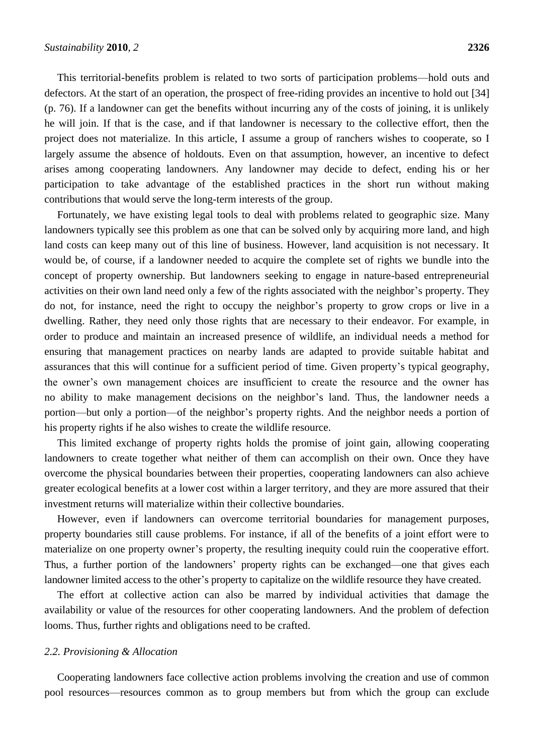This territorial-benefits problem is related to two sorts of participation problems—hold outs and defectors. At the start of an operation, the prospect of free-riding provides an incentive to hold out [34] (p. 76). If a landowner can get the benefits without incurring any of the costs of joining, it is unlikely he will join. If that is the case, and if that landowner is necessary to the collective effort, then the project does not materialize. In this article, I assume a group of ranchers wishes to cooperate, so I largely assume the absence of holdouts. Even on that assumption, however, an incentive to defect arises among cooperating landowners. Any landowner may decide to defect, ending his or her participation to take advantage of the established practices in the short run without making contributions that would serve the long-term interests of the group.

Fortunately, we have existing legal tools to deal with problems related to geographic size. Many landowners typically see this problem as one that can be solved only by acquiring more land, and high land costs can keep many out of this line of business. However, land acquisition is not necessary. It would be, of course, if a landowner needed to acquire the complete set of rights we bundle into the concept of property ownership. But landowners seeking to engage in nature-based entrepreneurial activities on their own land need only a few of the rights associated with the neighbor's property. They do not, for instance, need the right to occupy the neighbor's property to grow crops or live in a dwelling. Rather, they need only those rights that are necessary to their endeavor. For example, in order to produce and maintain an increased presence of wildlife, an individual needs a method for ensuring that management practices on nearby lands are adapted to provide suitable habitat and assurances that this will continue for a sufficient period of time. Given property's typical geography, the owner's own management choices are insufficient to create the resource and the owner has no ability to make management decisions on the neighbor's land. Thus, the landowner needs a portion—but only a portion—of the neighbor's property rights. And the neighbor needs a portion of his property rights if he also wishes to create the wildlife resource.

This limited exchange of property rights holds the promise of joint gain, allowing cooperating landowners to create together what neither of them can accomplish on their own. Once they have overcome the physical boundaries between their properties, cooperating landowners can also achieve greater ecological benefits at a lower cost within a larger territory, and they are more assured that their investment returns will materialize within their collective boundaries.

However, even if landowners can overcome territorial boundaries for management purposes, property boundaries still cause problems. For instance, if all of the benefits of a joint effort were to materialize on one property owner's property, the resulting inequity could ruin the cooperative effort. Thus, a further portion of the landowners' property rights can be exchanged—one that gives each landowner limited access to the other's property to capitalize on the wildlife resource they have created.

The effort at collective action can also be marred by individual activities that damage the availability or value of the resources for other cooperating landowners. And the problem of defection looms. Thus, further rights and obligations need to be crafted.

#### *2.2. Provisioning & Allocation*

Cooperating landowners face collective action problems involving the creation and use of common pool resources—resources common as to group members but from which the group can exclude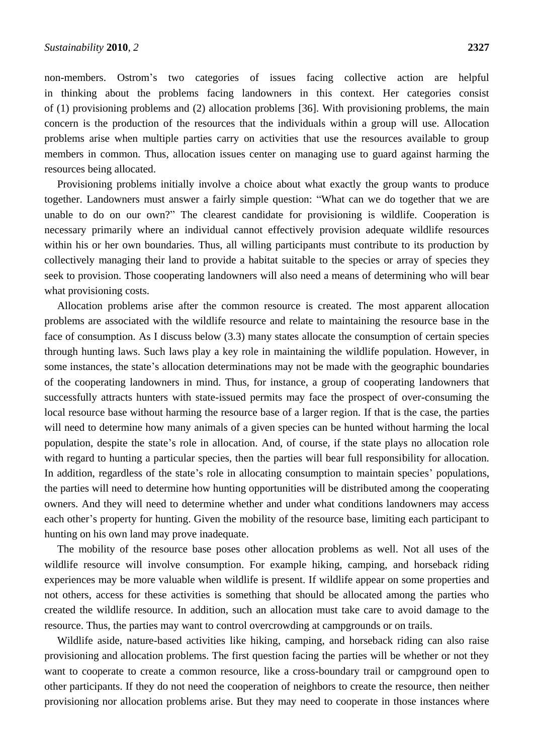non-members. Ostrom's two categories of issues facing collective action are helpful in thinking about the problems facing landowners in this context. Her categories consist of (1) provisioning problems and (2) allocation problems [36]. With provisioning problems, the main concern is the production of the resources that the individuals within a group will use. Allocation problems arise when multiple parties carry on activities that use the resources available to group members in common. Thus, allocation issues center on managing use to guard against harming the resources being allocated.

Provisioning problems initially involve a choice about what exactly the group wants to produce together. Landowners must answer a fairly simple question: "What can we do together that we are unable to do on our own?" The clearest candidate for provisioning is wildlife. Cooperation is necessary primarily where an individual cannot effectively provision adequate wildlife resources within his or her own boundaries. Thus, all willing participants must contribute to its production by collectively managing their land to provide a habitat suitable to the species or array of species they seek to provision. Those cooperating landowners will also need a means of determining who will bear what provisioning costs.

Allocation problems arise after the common resource is created. The most apparent allocation problems are associated with the wildlife resource and relate to maintaining the resource base in the face of consumption. As I discuss below (3.3) many states allocate the consumption of certain species through hunting laws. Such laws play a key role in maintaining the wildlife population. However, in some instances, the state's allocation determinations may not be made with the geographic boundaries of the cooperating landowners in mind. Thus, for instance, a group of cooperating landowners that successfully attracts hunters with state-issued permits may face the prospect of over-consuming the local resource base without harming the resource base of a larger region. If that is the case, the parties will need to determine how many animals of a given species can be hunted without harming the local population, despite the state's role in allocation. And, of course, if the state plays no allocation role with regard to hunting a particular species, then the parties will bear full responsibility for allocation. In addition, regardless of the state's role in allocating consumption to maintain species' populations, the parties will need to determine how hunting opportunities will be distributed among the cooperating owners. And they will need to determine whether and under what conditions landowners may access each other's property for hunting. Given the mobility of the resource base, limiting each participant to hunting on his own land may prove inadequate.

The mobility of the resource base poses other allocation problems as well. Not all uses of the wildlife resource will involve consumption. For example hiking, camping, and horseback riding experiences may be more valuable when wildlife is present. If wildlife appear on some properties and not others, access for these activities is something that should be allocated among the parties who created the wildlife resource. In addition, such an allocation must take care to avoid damage to the resource. Thus, the parties may want to control overcrowding at campgrounds or on trails.

Wildlife aside, nature-based activities like hiking, camping, and horseback riding can also raise provisioning and allocation problems. The first question facing the parties will be whether or not they want to cooperate to create a common resource, like a cross-boundary trail or campground open to other participants. If they do not need the cooperation of neighbors to create the resource, then neither provisioning nor allocation problems arise. But they may need to cooperate in those instances where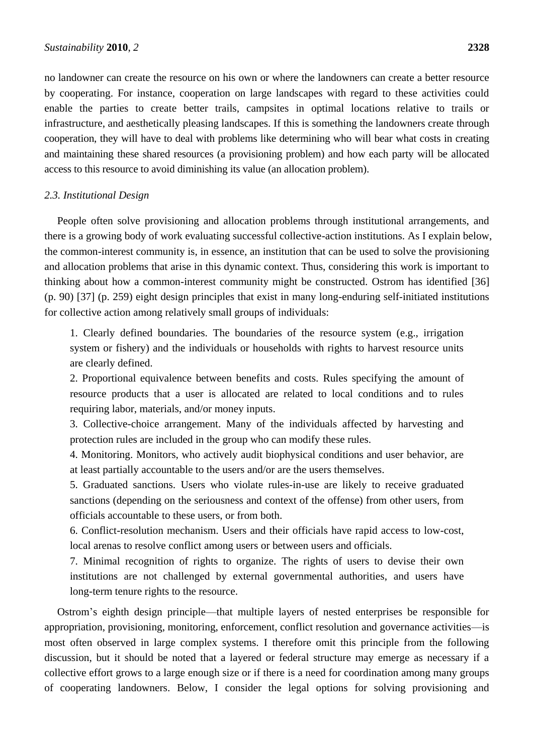no landowner can create the resource on his own or where the landowners can create a better resource by cooperating. For instance, cooperation on large landscapes with regard to these activities could enable the parties to create better trails, campsites in optimal locations relative to trails or infrastructure, and aesthetically pleasing landscapes. If this is something the landowners create through cooperation, they will have to deal with problems like determining who will bear what costs in creating and maintaining these shared resources (a provisioning problem) and how each party will be allocated access to this resource to avoid diminishing its value (an allocation problem).

#### *2.3. Institutional Design*

People often solve provisioning and allocation problems through institutional arrangements, and there is a growing body of work evaluating successful collective-action institutions. As I explain below, the common-interest community is, in essence, an institution that can be used to solve the provisioning and allocation problems that arise in this dynamic context. Thus, considering this work is important to thinking about how a common-interest community might be constructed. Ostrom has identified [36] (p. 90) [37] (p. 259) eight design principles that exist in many long-enduring self-initiated institutions for collective action among relatively small groups of individuals:

1. Clearly defined boundaries. The boundaries of the resource system (e.g., irrigation system or fishery) and the individuals or households with rights to harvest resource units are clearly defined.

2. Proportional equivalence between benefits and costs. Rules specifying the amount of resource products that a user is allocated are related to local conditions and to rules requiring labor, materials, and/or money inputs.

3. Collective-choice arrangement. Many of the individuals affected by harvesting and protection rules are included in the group who can modify these rules.

4. Monitoring. Monitors, who actively audit biophysical conditions and user behavior, are at least partially accountable to the users and/or are the users themselves.

5. Graduated sanctions. Users who violate rules-in-use are likely to receive graduated sanctions (depending on the seriousness and context of the offense) from other users, from officials accountable to these users, or from both.

6. Conflict-resolution mechanism. Users and their officials have rapid access to low-cost, local arenas to resolve conflict among users or between users and officials.

7. Minimal recognition of rights to organize. The rights of users to devise their own institutions are not challenged by external governmental authorities, and users have long-term tenure rights to the resource.

Ostrom's eighth design principle—that multiple layers of nested enterprises be responsible for appropriation, provisioning, monitoring, enforcement, conflict resolution and governance activities—is most often observed in large complex systems. I therefore omit this principle from the following discussion, but it should be noted that a layered or federal structure may emerge as necessary if a collective effort grows to a large enough size or if there is a need for coordination among many groups of cooperating landowners. Below, I consider the legal options for solving provisioning and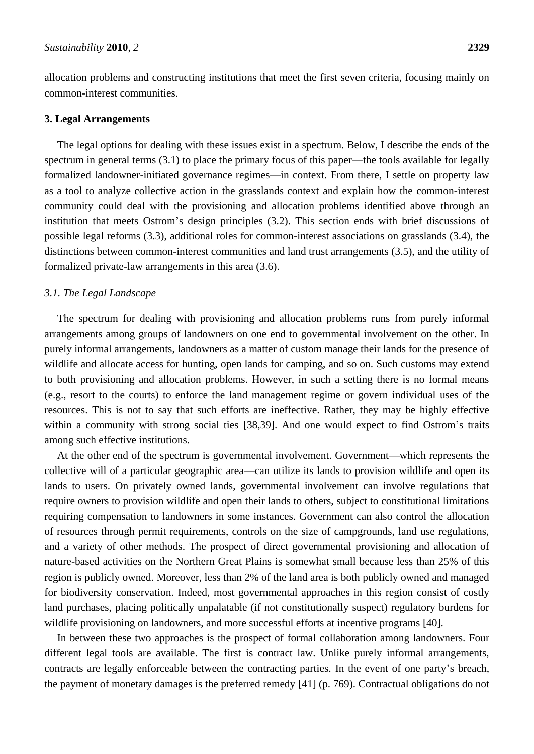allocation problems and constructing institutions that meet the first seven criteria, focusing mainly on common-interest communities.

#### **3. Legal Arrangements**

The legal options for dealing with these issues exist in a spectrum. Below, I describe the ends of the spectrum in general terms (3.1) to place the primary focus of this paper—the tools available for legally formalized landowner-initiated governance regimes—in context. From there, I settle on property law as a tool to analyze collective action in the grasslands context and explain how the common-interest community could deal with the provisioning and allocation problems identified above through an institution that meets Ostrom's design principles (3.2). This section ends with brief discussions of possible legal reforms (3.3), additional roles for common-interest associations on grasslands (3.4), the distinctions between common-interest communities and land trust arrangements (3.5), and the utility of formalized private-law arrangements in this area (3.6).

#### *3.1. The Legal Landscape*

The spectrum for dealing with provisioning and allocation problems runs from purely informal arrangements among groups of landowners on one end to governmental involvement on the other. In purely informal arrangements, landowners as a matter of custom manage their lands for the presence of wildlife and allocate access for hunting, open lands for camping, and so on. Such customs may extend to both provisioning and allocation problems. However, in such a setting there is no formal means (e.g., resort to the courts) to enforce the land management regime or govern individual uses of the resources. This is not to say that such efforts are ineffective. Rather, they may be highly effective within a community with strong social ties [38,39]. And one would expect to find Ostrom's traits among such effective institutions.

At the other end of the spectrum is governmental involvement. Government—which represents the collective will of a particular geographic area—can utilize its lands to provision wildlife and open its lands to users. On privately owned lands, governmental involvement can involve regulations that require owners to provision wildlife and open their lands to others, subject to constitutional limitations requiring compensation to landowners in some instances. Government can also control the allocation of resources through permit requirements, controls on the size of campgrounds, land use regulations, and a variety of other methods. The prospect of direct governmental provisioning and allocation of nature-based activities on the Northern Great Plains is somewhat small because less than 25% of this region is publicly owned. Moreover, less than 2% of the land area is both publicly owned and managed for biodiversity conservation. Indeed, most governmental approaches in this region consist of costly land purchases, placing politically unpalatable (if not constitutionally suspect) regulatory burdens for wildlife provisioning on landowners, and more successful efforts at incentive programs [40].

In between these two approaches is the prospect of formal collaboration among landowners. Four different legal tools are available. The first is contract law. Unlike purely informal arrangements, contracts are legally enforceable between the contracting parties. In the event of one party's breach, the payment of monetary damages is the preferred remedy [41] (p. 769). Contractual obligations do not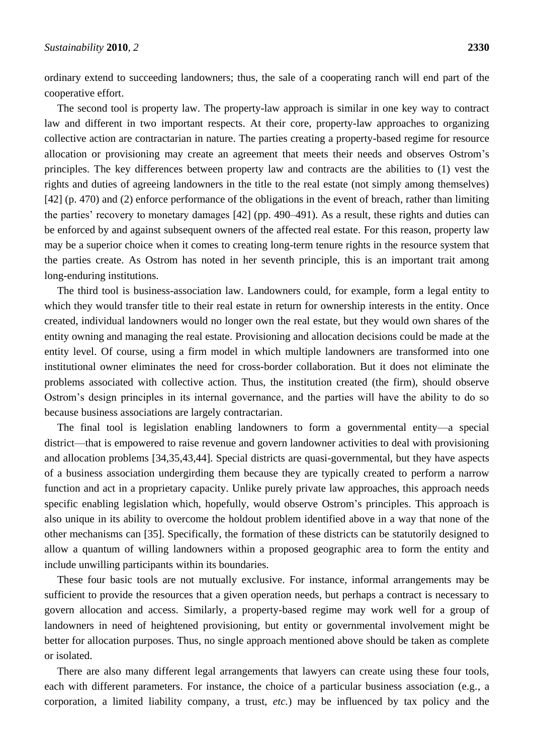ordinary extend to succeeding landowners; thus, the sale of a cooperating ranch will end part of the cooperative effort.

The second tool is property law. The property-law approach is similar in one key way to contract law and different in two important respects. At their core, property-law approaches to organizing collective action are contractarian in nature. The parties creating a property-based regime for resource allocation or provisioning may create an agreement that meets their needs and observes Ostrom's principles. The key differences between property law and contracts are the abilities to (1) vest the rights and duties of agreeing landowners in the title to the real estate (not simply among themselves) [42] (p. 470) and (2) enforce performance of the obligations in the event of breach, rather than limiting the parties' recovery to monetary damages [42] (pp. 490–491). As a result, these rights and duties can be enforced by and against subsequent owners of the affected real estate. For this reason, property law may be a superior choice when it comes to creating long-term tenure rights in the resource system that the parties create. As Ostrom has noted in her seventh principle, this is an important trait among long-enduring institutions.

The third tool is business-association law. Landowners could, for example, form a legal entity to which they would transfer title to their real estate in return for ownership interests in the entity. Once created, individual landowners would no longer own the real estate, but they would own shares of the entity owning and managing the real estate. Provisioning and allocation decisions could be made at the entity level. Of course, using a firm model in which multiple landowners are transformed into one institutional owner eliminates the need for cross-border collaboration. But it does not eliminate the problems associated with collective action. Thus, the institution created (the firm), should observe Ostrom's design principles in its internal governance, and the parties will have the ability to do so because business associations are largely contractarian.

The final tool is legislation enabling landowners to form a governmental entity—a special district—that is empowered to raise revenue and govern landowner activities to deal with provisioning and allocation problems [34,35,43,44]. Special districts are quasi-governmental, but they have aspects of a business association undergirding them because they are typically created to perform a narrow function and act in a proprietary capacity. Unlike purely private law approaches, this approach needs specific enabling legislation which, hopefully, would observe Ostrom's principles. This approach is also unique in its ability to overcome the holdout problem identified above in a way that none of the other mechanisms can [35]. Specifically, the formation of these districts can be statutorily designed to allow a quantum of willing landowners within a proposed geographic area to form the entity and include unwilling participants within its boundaries.

These four basic tools are not mutually exclusive. For instance, informal arrangements may be sufficient to provide the resources that a given operation needs, but perhaps a contract is necessary to govern allocation and access. Similarly, a property-based regime may work well for a group of landowners in need of heightened provisioning, but entity or governmental involvement might be better for allocation purposes. Thus, no single approach mentioned above should be taken as complete or isolated.

There are also many different legal arrangements that lawyers can create using these four tools, each with different parameters. For instance, the choice of a particular business association (e.g., a corporation, a limited liability company, a trust, *etc.*) may be influenced by tax policy and the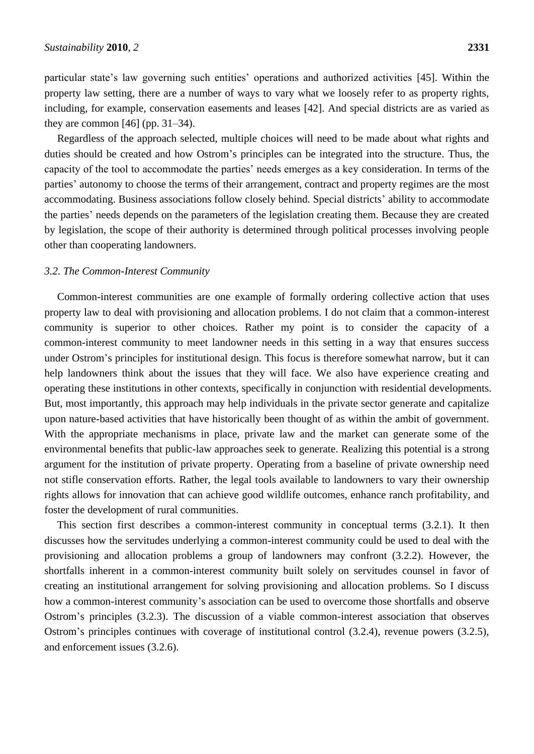particular state's law governing such entities' operations and authorized activities [45]. Within the property law setting, there are a number of ways to vary what we loosely refer to as property rights, including, for example, conservation easements and leases [42]. And special districts are as varied as they are common  $[46]$  (pp. 31–34).

Regardless of the approach selected, multiple choices will need to be made about what rights and duties should be created and how Ostrom's principles can be integrated into the structure. Thus, the capacity of the tool to accommodate the parties' needs emerges as a key consideration. In terms of the parties' autonomy to choose the terms of their arrangement, contract and property regimes are the most accommodating. Business associations follow closely behind. Special districts' ability to accommodate the parties' needs depends on the parameters of the legislation creating them. Because they are created by legislation, the scope of their authority is determined through political processes involving people other than cooperating landowners.

#### *3.2. The Common-Interest Community*

Common-interest communities are one example of formally ordering collective action that uses property law to deal with provisioning and allocation problems. I do not claim that a common-interest community is superior to other choices. Rather my point is to consider the capacity of a common-interest community to meet landowner needs in this setting in a way that ensures success under Ostrom's principles for institutional design. This focus is therefore somewhat narrow, but it can help landowners think about the issues that they will face. We also have experience creating and operating these institutions in other contexts, specifically in conjunction with residential developments. But, most importantly, this approach may help individuals in the private sector generate and capitalize upon nature-based activities that have historically been thought of as within the ambit of government. With the appropriate mechanisms in place, private law and the market can generate some of the environmental benefits that public-law approaches seek to generate. Realizing this potential is a strong argument for the institution of private property. Operating from a baseline of private ownership need not stifle conservation efforts. Rather, the legal tools available to landowners to vary their ownership rights allows for innovation that can achieve good wildlife outcomes, enhance ranch profitability, and foster the development of rural communities.

This section first describes a common-interest community in conceptual terms (3.2.1). It then discusses how the servitudes underlying a common-interest community could be used to deal with the provisioning and allocation problems a group of landowners may confront (3.2.2). However, the shortfalls inherent in a common-interest community built solely on servitudes counsel in favor of creating an institutional arrangement for solving provisioning and allocation problems. So I discuss how a common-interest community's association can be used to overcome those shortfalls and observe Ostrom's principles (3.2.3). The discussion of a viable common-interest association that observes Ostrom's principles continues with coverage of institutional control (3.2.4), revenue powers (3.2.5), and enforcement issues (3.2.6).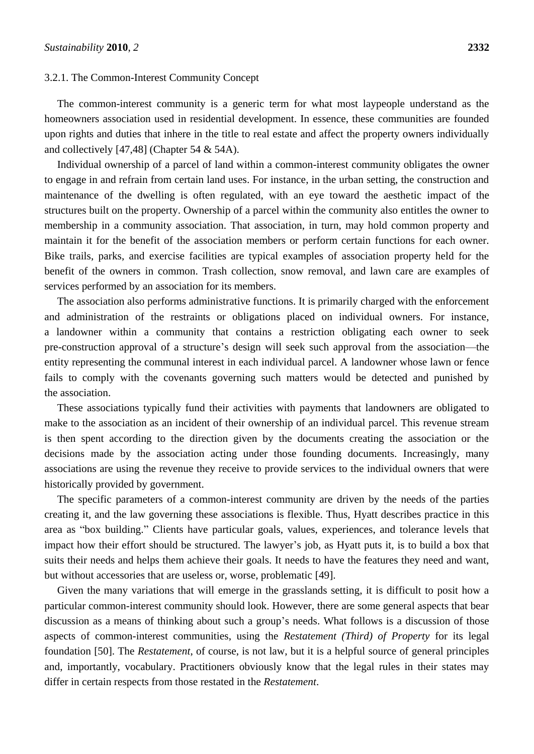#### 3.2.1. The Common-Interest Community Concept

The common-interest community is a generic term for what most laypeople understand as the homeowners association used in residential development. In essence, these communities are founded upon rights and duties that inhere in the title to real estate and affect the property owners individually and collectively [47,48] (Chapter 54 & 54A).

Individual ownership of a parcel of land within a common-interest community obligates the owner to engage in and refrain from certain land uses. For instance, in the urban setting, the construction and maintenance of the dwelling is often regulated, with an eye toward the aesthetic impact of the structures built on the property. Ownership of a parcel within the community also entitles the owner to membership in a community association. That association, in turn, may hold common property and maintain it for the benefit of the association members or perform certain functions for each owner. Bike trails, parks, and exercise facilities are typical examples of association property held for the benefit of the owners in common. Trash collection, snow removal, and lawn care are examples of services performed by an association for its members.

The association also performs administrative functions. It is primarily charged with the enforcement and administration of the restraints or obligations placed on individual owners. For instance, a landowner within a community that contains a restriction obligating each owner to seek pre-construction approval of a structure's design will seek such approval from the association—the entity representing the communal interest in each individual parcel. A landowner whose lawn or fence fails to comply with the covenants governing such matters would be detected and punished by the association.

These associations typically fund their activities with payments that landowners are obligated to make to the association as an incident of their ownership of an individual parcel. This revenue stream is then spent according to the direction given by the documents creating the association or the decisions made by the association acting under those founding documents. Increasingly, many associations are using the revenue they receive to provide services to the individual owners that were historically provided by government.

The specific parameters of a common-interest community are driven by the needs of the parties creating it, and the law governing these associations is flexible. Thus, Hyatt describes practice in this area as "box building." Clients have particular goals, values, experiences, and tolerance levels that impact how their effort should be structured. The lawyer's job, as Hyatt puts it, is to build a box that suits their needs and helps them achieve their goals. It needs to have the features they need and want, but without accessories that are useless or, worse, problematic [49].

Given the many variations that will emerge in the grasslands setting, it is difficult to posit how a particular common-interest community should look. However, there are some general aspects that bear discussion as a means of thinking about such a group's needs. What follows is a discussion of those aspects of common-interest communities, using the *Restatement (Third) of Property* for its legal foundation [50]. The *Restatement*, of course, is not law, but it is a helpful source of general principles and, importantly, vocabulary. Practitioners obviously know that the legal rules in their states may differ in certain respects from those restated in the *Restatement*.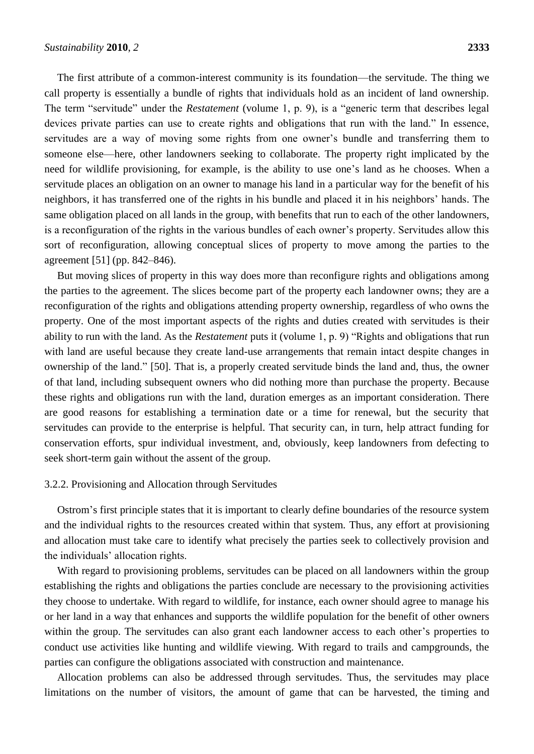The first attribute of a common-interest community is its foundation—the servitude. The thing we call property is essentially a bundle of rights that individuals hold as an incident of land ownership. The term "servitude" under the *Restatement* (volume 1, p. 9), is a "generic term that describes legal devices private parties can use to create rights and obligations that run with the land." In essence, servitudes are a way of moving some rights from one owner's bundle and transferring them to someone else—here, other landowners seeking to collaborate. The property right implicated by the need for wildlife provisioning, for example, is the ability to use one's land as he chooses. When a servitude places an obligation on an owner to manage his land in a particular way for the benefit of his neighbors, it has transferred one of the rights in his bundle and placed it in his neighbors' hands. The same obligation placed on all lands in the group, with benefits that run to each of the other landowners, is a reconfiguration of the rights in the various bundles of each owner's property. Servitudes allow this sort of reconfiguration, allowing conceptual slices of property to move among the parties to the agreement [51] (pp. 842–846).

But moving slices of property in this way does more than reconfigure rights and obligations among the parties to the agreement. The slices become part of the property each landowner owns; they are a reconfiguration of the rights and obligations attending property ownership, regardless of who owns the property. One of the most important aspects of the rights and duties created with servitudes is their ability to run with the land. As the *Restatement* puts it (volume 1, p. 9) "Rights and obligations that run with land are useful because they create land-use arrangements that remain intact despite changes in ownership of the land." [50]. That is, a properly created servitude binds the land and, thus, the owner of that land, including subsequent owners who did nothing more than purchase the property. Because these rights and obligations run with the land, duration emerges as an important consideration. There are good reasons for establishing a termination date or a time for renewal, but the security that servitudes can provide to the enterprise is helpful. That security can, in turn, help attract funding for conservation efforts, spur individual investment, and, obviously, keep landowners from defecting to seek short-term gain without the assent of the group.

#### 3.2.2. Provisioning and Allocation through Servitudes

Ostrom's first principle states that it is important to clearly define boundaries of the resource system and the individual rights to the resources created within that system. Thus, any effort at provisioning and allocation must take care to identify what precisely the parties seek to collectively provision and the individuals' allocation rights.

With regard to provisioning problems, servitudes can be placed on all landowners within the group establishing the rights and obligations the parties conclude are necessary to the provisioning activities they choose to undertake. With regard to wildlife, for instance, each owner should agree to manage his or her land in a way that enhances and supports the wildlife population for the benefit of other owners within the group. The servitudes can also grant each landowner access to each other's properties to conduct use activities like hunting and wildlife viewing. With regard to trails and campgrounds, the parties can configure the obligations associated with construction and maintenance.

Allocation problems can also be addressed through servitudes. Thus, the servitudes may place limitations on the number of visitors, the amount of game that can be harvested, the timing and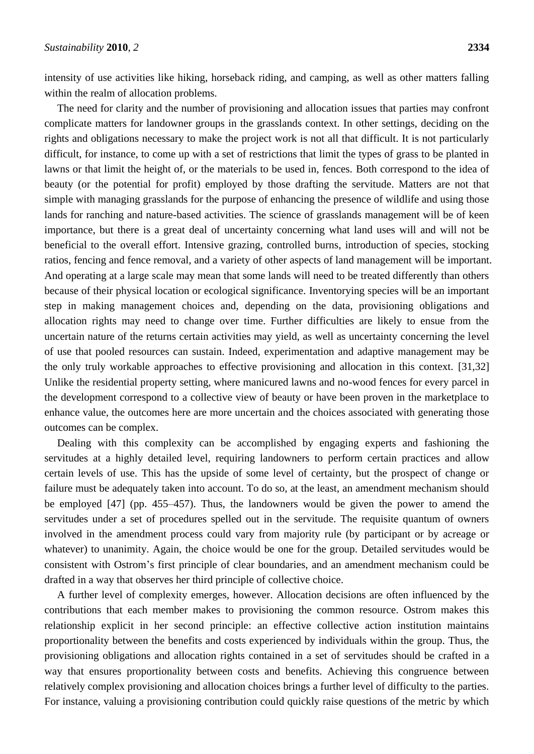intensity of use activities like hiking, horseback riding, and camping, as well as other matters falling within the realm of allocation problems.

The need for clarity and the number of provisioning and allocation issues that parties may confront complicate matters for landowner groups in the grasslands context. In other settings, deciding on the rights and obligations necessary to make the project work is not all that difficult. It is not particularly difficult, for instance, to come up with a set of restrictions that limit the types of grass to be planted in lawns or that limit the height of, or the materials to be used in, fences. Both correspond to the idea of beauty (or the potential for profit) employed by those drafting the servitude. Matters are not that simple with managing grasslands for the purpose of enhancing the presence of wildlife and using those lands for ranching and nature-based activities. The science of grasslands management will be of keen importance, but there is a great deal of uncertainty concerning what land uses will and will not be beneficial to the overall effort. Intensive grazing, controlled burns, introduction of species, stocking ratios, fencing and fence removal, and a variety of other aspects of land management will be important. And operating at a large scale may mean that some lands will need to be treated differently than others because of their physical location or ecological significance. Inventorying species will be an important step in making management choices and, depending on the data, provisioning obligations and allocation rights may need to change over time. Further difficulties are likely to ensue from the uncertain nature of the returns certain activities may yield, as well as uncertainty concerning the level of use that pooled resources can sustain. Indeed, experimentation and adaptive management may be the only truly workable approaches to effective provisioning and allocation in this context. [31,32] Unlike the residential property setting, where manicured lawns and no-wood fences for every parcel in the development correspond to a collective view of beauty or have been proven in the marketplace to enhance value, the outcomes here are more uncertain and the choices associated with generating those outcomes can be complex.

Dealing with this complexity can be accomplished by engaging experts and fashioning the servitudes at a highly detailed level, requiring landowners to perform certain practices and allow certain levels of use. This has the upside of some level of certainty, but the prospect of change or failure must be adequately taken into account. To do so, at the least, an amendment mechanism should be employed [47] (pp. 455–457). Thus, the landowners would be given the power to amend the servitudes under a set of procedures spelled out in the servitude. The requisite quantum of owners involved in the amendment process could vary from majority rule (by participant or by acreage or whatever) to unanimity. Again, the choice would be one for the group. Detailed servitudes would be consistent with Ostrom's first principle of clear boundaries, and an amendment mechanism could be drafted in a way that observes her third principle of collective choice.

A further level of complexity emerges, however. Allocation decisions are often influenced by the contributions that each member makes to provisioning the common resource. Ostrom makes this relationship explicit in her second principle: an effective collective action institution maintains proportionality between the benefits and costs experienced by individuals within the group. Thus, the provisioning obligations and allocation rights contained in a set of servitudes should be crafted in a way that ensures proportionality between costs and benefits. Achieving this congruence between relatively complex provisioning and allocation choices brings a further level of difficulty to the parties. For instance, valuing a provisioning contribution could quickly raise questions of the metric by which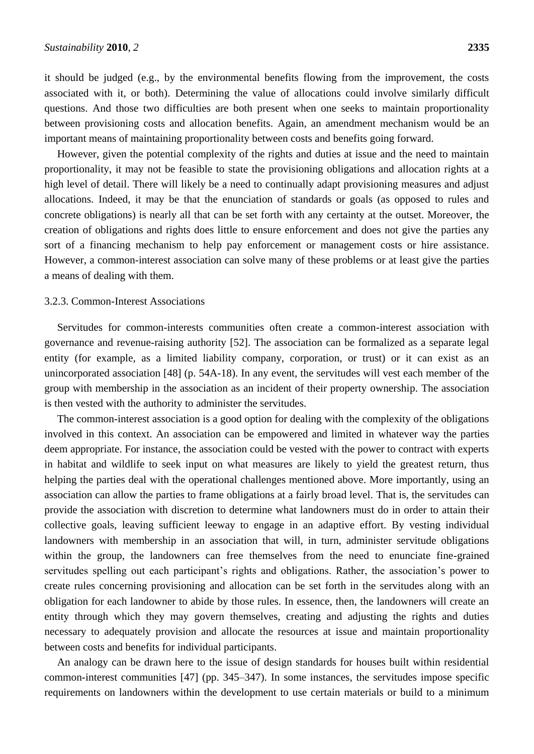it should be judged (e.g., by the environmental benefits flowing from the improvement, the costs associated with it, or both). Determining the value of allocations could involve similarly difficult questions. And those two difficulties are both present when one seeks to maintain proportionality between provisioning costs and allocation benefits. Again, an amendment mechanism would be an important means of maintaining proportionality between costs and benefits going forward.

However, given the potential complexity of the rights and duties at issue and the need to maintain proportionality, it may not be feasible to state the provisioning obligations and allocation rights at a high level of detail. There will likely be a need to continually adapt provisioning measures and adjust allocations. Indeed, it may be that the enunciation of standards or goals (as opposed to rules and concrete obligations) is nearly all that can be set forth with any certainty at the outset. Moreover, the creation of obligations and rights does little to ensure enforcement and does not give the parties any sort of a financing mechanism to help pay enforcement or management costs or hire assistance. However, a common-interest association can solve many of these problems or at least give the parties a means of dealing with them.

#### 3.2.3. Common-Interest Associations

Servitudes for common-interests communities often create a common-interest association with governance and revenue-raising authority [52]. The association can be formalized as a separate legal entity (for example, as a limited liability company, corporation, or trust) or it can exist as an unincorporated association [48] (p. 54A-18). In any event, the servitudes will vest each member of the group with membership in the association as an incident of their property ownership. The association is then vested with the authority to administer the servitudes.

The common-interest association is a good option for dealing with the complexity of the obligations involved in this context. An association can be empowered and limited in whatever way the parties deem appropriate. For instance, the association could be vested with the power to contract with experts in habitat and wildlife to seek input on what measures are likely to yield the greatest return, thus helping the parties deal with the operational challenges mentioned above. More importantly, using an association can allow the parties to frame obligations at a fairly broad level. That is, the servitudes can provide the association with discretion to determine what landowners must do in order to attain their collective goals, leaving sufficient leeway to engage in an adaptive effort. By vesting individual landowners with membership in an association that will, in turn, administer servitude obligations within the group, the landowners can free themselves from the need to enunciate fine-grained servitudes spelling out each participant's rights and obligations. Rather, the association's power to create rules concerning provisioning and allocation can be set forth in the servitudes along with an obligation for each landowner to abide by those rules. In essence, then, the landowners will create an entity through which they may govern themselves, creating and adjusting the rights and duties necessary to adequately provision and allocate the resources at issue and maintain proportionality between costs and benefits for individual participants.

An analogy can be drawn here to the issue of design standards for houses built within residential common-interest communities [47] (pp. 345–347). In some instances, the servitudes impose specific requirements on landowners within the development to use certain materials or build to a minimum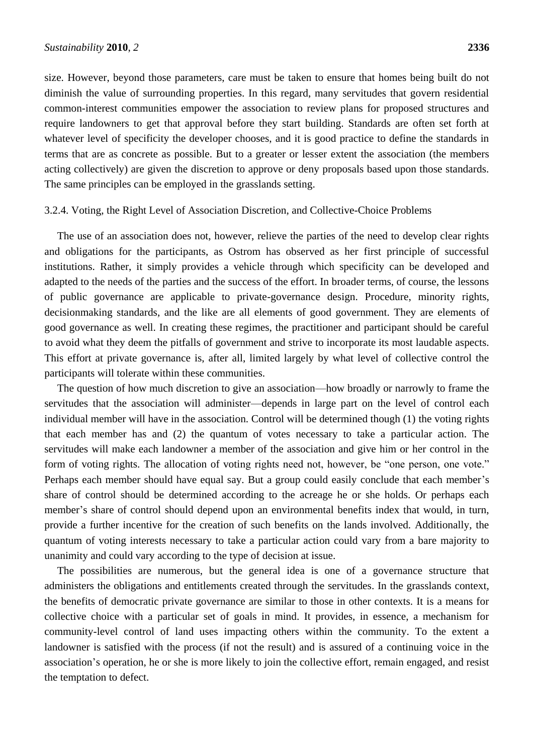size. However, beyond those parameters, care must be taken to ensure that homes being built do not diminish the value of surrounding properties. In this regard, many servitudes that govern residential common-interest communities empower the association to review plans for proposed structures and require landowners to get that approval before they start building. Standards are often set forth at whatever level of specificity the developer chooses, and it is good practice to define the standards in terms that are as concrete as possible. But to a greater or lesser extent the association (the members acting collectively) are given the discretion to approve or deny proposals based upon those standards. The same principles can be employed in the grasslands setting.

#### 3.2.4. Voting, the Right Level of Association Discretion, and Collective-Choice Problems

The use of an association does not, however, relieve the parties of the need to develop clear rights and obligations for the participants, as Ostrom has observed as her first principle of successful institutions. Rather, it simply provides a vehicle through which specificity can be developed and adapted to the needs of the parties and the success of the effort. In broader terms, of course, the lessons of public governance are applicable to private-governance design. Procedure, minority rights, decisionmaking standards, and the like are all elements of good government. They are elements of good governance as well. In creating these regimes, the practitioner and participant should be careful to avoid what they deem the pitfalls of government and strive to incorporate its most laudable aspects. This effort at private governance is, after all, limited largely by what level of collective control the participants will tolerate within these communities.

The question of how much discretion to give an association—how broadly or narrowly to frame the servitudes that the association will administer—depends in large part on the level of control each individual member will have in the association. Control will be determined though (1) the voting rights that each member has and (2) the quantum of votes necessary to take a particular action. The servitudes will make each landowner a member of the association and give him or her control in the form of voting rights. The allocation of voting rights need not, however, be "one person, one vote." Perhaps each member should have equal say. But a group could easily conclude that each member's share of control should be determined according to the acreage he or she holds. Or perhaps each member's share of control should depend upon an environmental benefits index that would, in turn, provide a further incentive for the creation of such benefits on the lands involved. Additionally, the quantum of voting interests necessary to take a particular action could vary from a bare majority to unanimity and could vary according to the type of decision at issue.

The possibilities are numerous, but the general idea is one of a governance structure that administers the obligations and entitlements created through the servitudes. In the grasslands context, the benefits of democratic private governance are similar to those in other contexts. It is a means for collective choice with a particular set of goals in mind. It provides, in essence, a mechanism for community-level control of land uses impacting others within the community. To the extent a landowner is satisfied with the process (if not the result) and is assured of a continuing voice in the association's operation, he or she is more likely to join the collective effort, remain engaged, and resist the temptation to defect.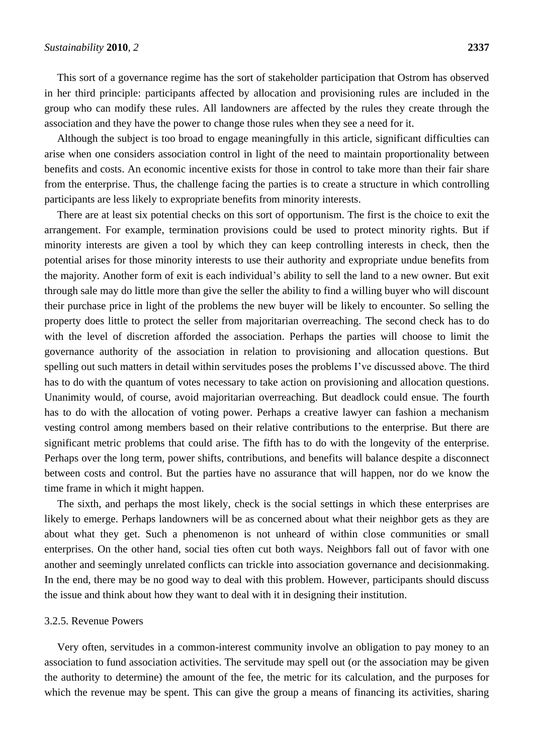This sort of a governance regime has the sort of stakeholder participation that Ostrom has observed in her third principle: participants affected by allocation and provisioning rules are included in the group who can modify these rules. All landowners are affected by the rules they create through the association and they have the power to change those rules when they see a need for it.

Although the subject is too broad to engage meaningfully in this article, significant difficulties can arise when one considers association control in light of the need to maintain proportionality between benefits and costs. An economic incentive exists for those in control to take more than their fair share from the enterprise. Thus, the challenge facing the parties is to create a structure in which controlling participants are less likely to expropriate benefits from minority interests.

There are at least six potential checks on this sort of opportunism. The first is the choice to exit the arrangement. For example, termination provisions could be used to protect minority rights. But if minority interests are given a tool by which they can keep controlling interests in check, then the potential arises for those minority interests to use their authority and expropriate undue benefits from the majority. Another form of exit is each individual's ability to sell the land to a new owner. But exit through sale may do little more than give the seller the ability to find a willing buyer who will discount their purchase price in light of the problems the new buyer will be likely to encounter. So selling the property does little to protect the seller from majoritarian overreaching. The second check has to do with the level of discretion afforded the association. Perhaps the parties will choose to limit the governance authority of the association in relation to provisioning and allocation questions. But spelling out such matters in detail within servitudes poses the problems I've discussed above. The third has to do with the quantum of votes necessary to take action on provisioning and allocation questions. Unanimity would, of course, avoid majoritarian overreaching. But deadlock could ensue. The fourth has to do with the allocation of voting power. Perhaps a creative lawyer can fashion a mechanism vesting control among members based on their relative contributions to the enterprise. But there are significant metric problems that could arise. The fifth has to do with the longevity of the enterprise. Perhaps over the long term, power shifts, contributions, and benefits will balance despite a disconnect between costs and control. But the parties have no assurance that will happen, nor do we know the time frame in which it might happen.

The sixth, and perhaps the most likely, check is the social settings in which these enterprises are likely to emerge. Perhaps landowners will be as concerned about what their neighbor gets as they are about what they get. Such a phenomenon is not unheard of within close communities or small enterprises. On the other hand, social ties often cut both ways. Neighbors fall out of favor with one another and seemingly unrelated conflicts can trickle into association governance and decisionmaking. In the end, there may be no good way to deal with this problem. However, participants should discuss the issue and think about how they want to deal with it in designing their institution.

#### 3.2.5. Revenue Powers

Very often, servitudes in a common-interest community involve an obligation to pay money to an association to fund association activities. The servitude may spell out (or the association may be given the authority to determine) the amount of the fee, the metric for its calculation, and the purposes for which the revenue may be spent. This can give the group a means of financing its activities, sharing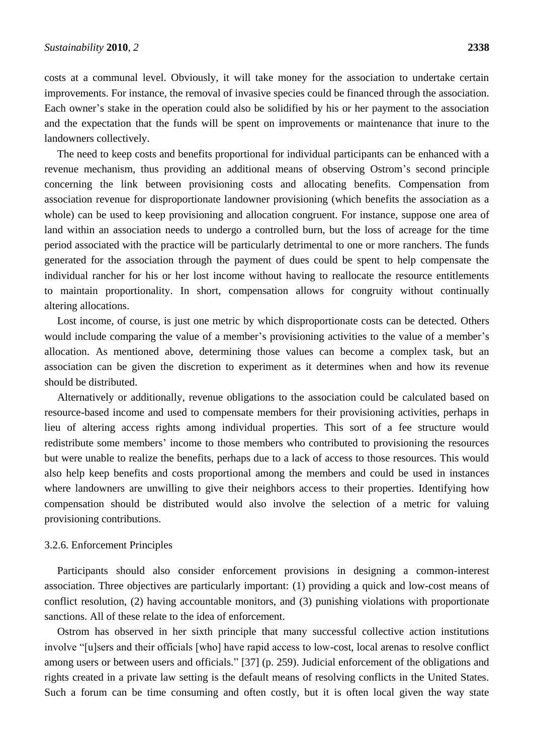costs at a communal level. Obviously, it will take money for the association to undertake certain improvements. For instance, the removal of invasive species could be financed through the association. Each owner's stake in the operation could also be solidified by his or her payment to the association and the expectation that the funds will be spent on improvements or maintenance that inure to the landowners collectively.

The need to keep costs and benefits proportional for individual participants can be enhanced with a revenue mechanism, thus providing an additional means of observing Ostrom's second principle concerning the link between provisioning costs and allocating benefits. Compensation from association revenue for disproportionate landowner provisioning (which benefits the association as a whole) can be used to keep provisioning and allocation congruent. For instance, suppose one area of land within an association needs to undergo a controlled burn, but the loss of acreage for the time period associated with the practice will be particularly detrimental to one or more ranchers. The funds generated for the association through the payment of dues could be spent to help compensate the individual rancher for his or her lost income without having to reallocate the resource entitlements to maintain proportionality. In short, compensation allows for congruity without continually altering allocations.

Lost income, of course, is just one metric by which disproportionate costs can be detected. Others would include comparing the value of a member's provisioning activities to the value of a member's allocation. As mentioned above, determining those values can become a complex task, but an association can be given the discretion to experiment as it determines when and how its revenue should be distributed.

Alternatively or additionally, revenue obligations to the association could be calculated based on resource-based income and used to compensate members for their provisioning activities, perhaps in lieu of altering access rights among individual properties. This sort of a fee structure would redistribute some members' income to those members who contributed to provisioning the resources but were unable to realize the benefits, perhaps due to a lack of access to those resources. This would also help keep benefits and costs proportional among the members and could be used in instances where landowners are unwilling to give their neighbors access to their properties. Identifying how compensation should be distributed would also involve the selection of a metric for valuing provisioning contributions.

#### 3.2.6. Enforcement Principles

Participants should also consider enforcement provisions in designing a common-interest association. Three objectives are particularly important: (1) providing a quick and low-cost means of conflict resolution, (2) having accountable monitors, and (3) punishing violations with proportionate sanctions. All of these relate to the idea of enforcement.

Ostrom has observed in her sixth principle that many successful collective action institutions involve "[u]sers and their officials [who] have rapid access to low-cost, local arenas to resolve conflict among users or between users and officials." [37] (p. 259). Judicial enforcement of the obligations and rights created in a private law setting is the default means of resolving conflicts in the United States. Such a forum can be time consuming and often costly, but it is often local given the way state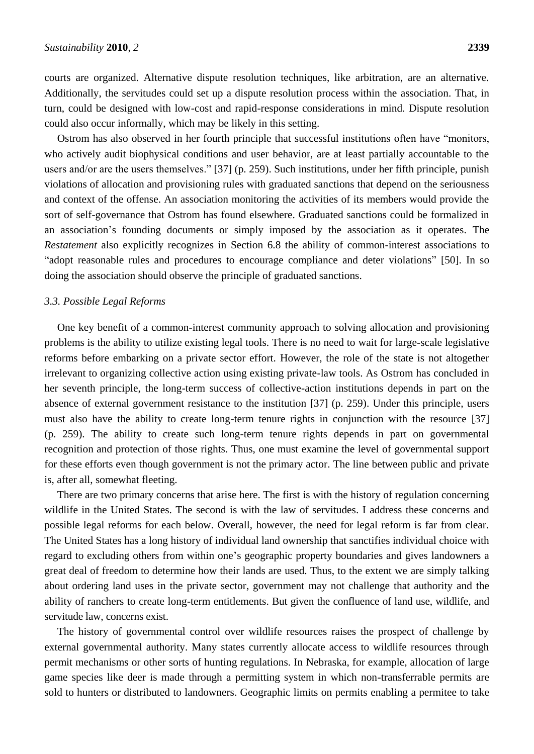courts are organized. Alternative dispute resolution techniques, like arbitration, are an alternative. Additionally, the servitudes could set up a dispute resolution process within the association. That, in turn, could be designed with low-cost and rapid-response considerations in mind. Dispute resolution could also occur informally, which may be likely in this setting.

Ostrom has also observed in her fourth principle that successful institutions often have "monitors, who actively audit biophysical conditions and user behavior, are at least partially accountable to the users and/or are the users themselves." [37] (p. 259). Such institutions, under her fifth principle, punish violations of allocation and provisioning rules with graduated sanctions that depend on the seriousness and context of the offense. An association monitoring the activities of its members would provide the sort of self-governance that Ostrom has found elsewhere. Graduated sanctions could be formalized in an association's founding documents or simply imposed by the association as it operates. The *Restatement* also explicitly recognizes in Section 6.8 the ability of common-interest associations to "adopt reasonable rules and procedures to encourage compliance and deter violations" [50]. In so doing the association should observe the principle of graduated sanctions.

#### *3.3. Possible Legal Reforms*

One key benefit of a common-interest community approach to solving allocation and provisioning problems is the ability to utilize existing legal tools. There is no need to wait for large-scale legislative reforms before embarking on a private sector effort. However, the role of the state is not altogether irrelevant to organizing collective action using existing private-law tools. As Ostrom has concluded in her seventh principle, the long-term success of collective-action institutions depends in part on the absence of external government resistance to the institution [37] (p. 259). Under this principle, users must also have the ability to create long-term tenure rights in conjunction with the resource [37] (p. 259). The ability to create such long-term tenure rights depends in part on governmental recognition and protection of those rights. Thus, one must examine the level of governmental support for these efforts even though government is not the primary actor. The line between public and private is, after all, somewhat fleeting.

There are two primary concerns that arise here. The first is with the history of regulation concerning wildlife in the United States. The second is with the law of servitudes. I address these concerns and possible legal reforms for each below. Overall, however, the need for legal reform is far from clear. The United States has a long history of individual land ownership that sanctifies individual choice with regard to excluding others from within one's geographic property boundaries and gives landowners a great deal of freedom to determine how their lands are used. Thus, to the extent we are simply talking about ordering land uses in the private sector, government may not challenge that authority and the ability of ranchers to create long-term entitlements. But given the confluence of land use, wildlife, and servitude law, concerns exist.

The history of governmental control over wildlife resources raises the prospect of challenge by external governmental authority. Many states currently allocate access to wildlife resources through permit mechanisms or other sorts of hunting regulations. In Nebraska, for example, allocation of large game species like deer is made through a permitting system in which non-transferrable permits are sold to hunters or distributed to landowners. Geographic limits on permits enabling a permitee to take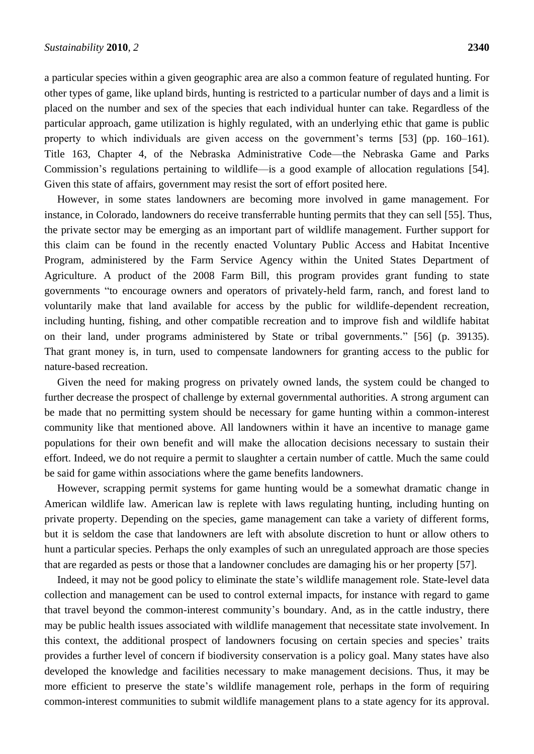a particular species within a given geographic area are also a common feature of regulated hunting. For other types of game, like upland birds, hunting is restricted to a particular number of days and a limit is placed on the number and sex of the species that each individual hunter can take. Regardless of the particular approach, game utilization is highly regulated, with an underlying ethic that game is public property to which individuals are given access on the government's terms [53] (pp. 160–161). Title 163, Chapter 4, of the Nebraska Administrative Code—the Nebraska Game and Parks Commission's regulations pertaining to wildlife—is a good example of allocation regulations [54]. Given this state of affairs, government may resist the sort of effort posited here.

However, in some states landowners are becoming more involved in game management. For instance, in Colorado, landowners do receive transferrable hunting permits that they can sell [55]. Thus, the private sector may be emerging as an important part of wildlife management. Further support for this claim can be found in the recently enacted Voluntary Public Access and Habitat Incentive Program, administered by the Farm Service Agency within the United States Department of Agriculture. A product of the 2008 Farm Bill, this program provides grant funding to state governments "to encourage owners and operators of privately-held farm, ranch, and forest land to voluntarily make that land available for access by the public for wildlife-dependent recreation, including hunting, fishing, and other compatible recreation and to improve fish and wildlife habitat on their land, under programs administered by State or tribal governments." [56] (p. 39135). That grant money is, in turn, used to compensate landowners for granting access to the public for nature-based recreation.

Given the need for making progress on privately owned lands, the system could be changed to further decrease the prospect of challenge by external governmental authorities. A strong argument can be made that no permitting system should be necessary for game hunting within a common-interest community like that mentioned above. All landowners within it have an incentive to manage game populations for their own benefit and will make the allocation decisions necessary to sustain their effort. Indeed, we do not require a permit to slaughter a certain number of cattle. Much the same could be said for game within associations where the game benefits landowners.

However, scrapping permit systems for game hunting would be a somewhat dramatic change in American wildlife law. American law is replete with laws regulating hunting, including hunting on private property. Depending on the species, game management can take a variety of different forms, but it is seldom the case that landowners are left with absolute discretion to hunt or allow others to hunt a particular species. Perhaps the only examples of such an unregulated approach are those species that are regarded as pests or those that a landowner concludes are damaging his or her property [57].

Indeed, it may not be good policy to eliminate the state's wildlife management role. State-level data collection and management can be used to control external impacts, for instance with regard to game that travel beyond the common-interest community's boundary. And, as in the cattle industry, there may be public health issues associated with wildlife management that necessitate state involvement. In this context, the additional prospect of landowners focusing on certain species and species' traits provides a further level of concern if biodiversity conservation is a policy goal. Many states have also developed the knowledge and facilities necessary to make management decisions. Thus, it may be more efficient to preserve the state's wildlife management role, perhaps in the form of requiring common-interest communities to submit wildlife management plans to a state agency for its approval.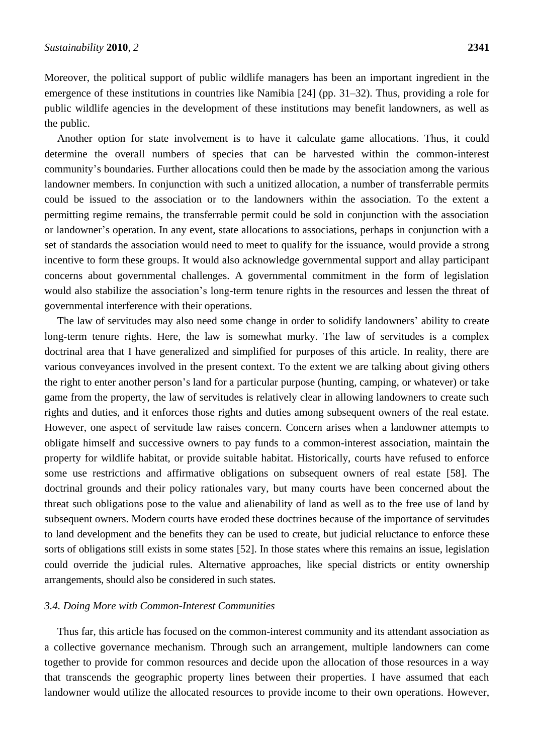Moreover, the political support of public wildlife managers has been an important ingredient in the emergence of these institutions in countries like Namibia [24] (pp. 31–32). Thus, providing a role for public wildlife agencies in the development of these institutions may benefit landowners, as well as the public.

Another option for state involvement is to have it calculate game allocations. Thus, it could determine the overall numbers of species that can be harvested within the common-interest community's boundaries. Further allocations could then be made by the association among the various landowner members. In conjunction with such a unitized allocation, a number of transferrable permits could be issued to the association or to the landowners within the association. To the extent a permitting regime remains, the transferrable permit could be sold in conjunction with the association or landowner's operation. In any event, state allocations to associations, perhaps in conjunction with a set of standards the association would need to meet to qualify for the issuance, would provide a strong incentive to form these groups. It would also acknowledge governmental support and allay participant concerns about governmental challenges. A governmental commitment in the form of legislation would also stabilize the association's long-term tenure rights in the resources and lessen the threat of governmental interference with their operations.

The law of servitudes may also need some change in order to solidify landowners' ability to create long-term tenure rights. Here, the law is somewhat murky. The law of servitudes is a complex doctrinal area that I have generalized and simplified for purposes of this article. In reality, there are various conveyances involved in the present context. To the extent we are talking about giving others the right to enter another person's land for a particular purpose (hunting, camping, or whatever) or take game from the property, the law of servitudes is relatively clear in allowing landowners to create such rights and duties, and it enforces those rights and duties among subsequent owners of the real estate. However, one aspect of servitude law raises concern. Concern arises when a landowner attempts to obligate himself and successive owners to pay funds to a common-interest association, maintain the property for wildlife habitat, or provide suitable habitat. Historically, courts have refused to enforce some use restrictions and affirmative obligations on subsequent owners of real estate [58]. The doctrinal grounds and their policy rationales vary, but many courts have been concerned about the threat such obligations pose to the value and alienability of land as well as to the free use of land by subsequent owners. Modern courts have eroded these doctrines because of the importance of servitudes to land development and the benefits they can be used to create, but judicial reluctance to enforce these sorts of obligations still exists in some states [52]. In those states where this remains an issue, legislation could override the judicial rules. Alternative approaches, like special districts or entity ownership arrangements, should also be considered in such states.

#### *3.4. Doing More with Common-Interest Communities*

Thus far, this article has focused on the common-interest community and its attendant association as a collective governance mechanism. Through such an arrangement, multiple landowners can come together to provide for common resources and decide upon the allocation of those resources in a way that transcends the geographic property lines between their properties. I have assumed that each landowner would utilize the allocated resources to provide income to their own operations. However,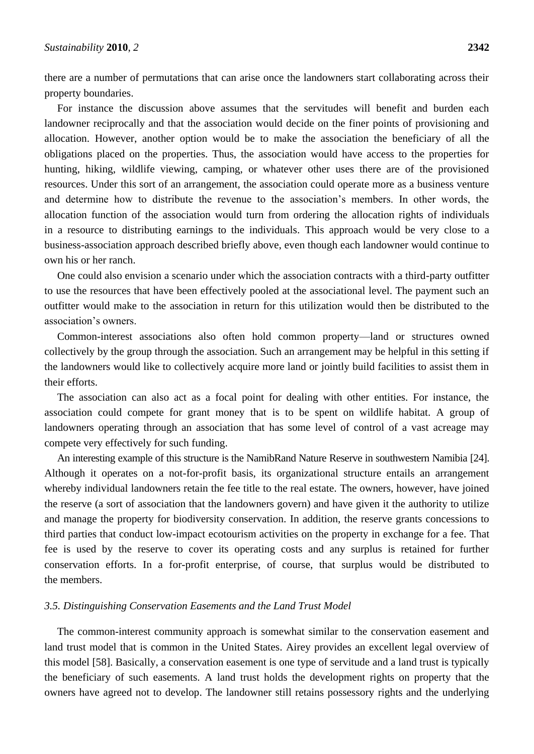there are a number of permutations that can arise once the landowners start collaborating across their property boundaries.

For instance the discussion above assumes that the servitudes will benefit and burden each landowner reciprocally and that the association would decide on the finer points of provisioning and allocation. However, another option would be to make the association the beneficiary of all the obligations placed on the properties. Thus, the association would have access to the properties for hunting, hiking, wildlife viewing, camping, or whatever other uses there are of the provisioned resources. Under this sort of an arrangement, the association could operate more as a business venture and determine how to distribute the revenue to the association's members. In other words, the allocation function of the association would turn from ordering the allocation rights of individuals in a resource to distributing earnings to the individuals. This approach would be very close to a business-association approach described briefly above, even though each landowner would continue to own his or her ranch.

One could also envision a scenario under which the association contracts with a third-party outfitter to use the resources that have been effectively pooled at the associational level. The payment such an outfitter would make to the association in return for this utilization would then be distributed to the association's owners.

Common-interest associations also often hold common property—land or structures owned collectively by the group through the association. Such an arrangement may be helpful in this setting if the landowners would like to collectively acquire more land or jointly build facilities to assist them in their efforts.

The association can also act as a focal point for dealing with other entities. For instance, the association could compete for grant money that is to be spent on wildlife habitat. A group of landowners operating through an association that has some level of control of a vast acreage may compete very effectively for such funding.

An interesting example of this structure is the NamibRand Nature Reserve in southwestern Namibia [24]. Although it operates on a not-for-profit basis, its organizational structure entails an arrangement whereby individual landowners retain the fee title to the real estate. The owners, however, have joined the reserve (a sort of association that the landowners govern) and have given it the authority to utilize and manage the property for biodiversity conservation. In addition, the reserve grants concessions to third parties that conduct low-impact ecotourism activities on the property in exchange for a fee. That fee is used by the reserve to cover its operating costs and any surplus is retained for further conservation efforts. In a for-profit enterprise, of course, that surplus would be distributed to the members.

#### *3.5. Distinguishing Conservation Easements and the Land Trust Model*

The common-interest community approach is somewhat similar to the conservation easement and land trust model that is common in the United States. Airey provides an excellent legal overview of this model [58]. Basically, a conservation easement is one type of servitude and a land trust is typically the beneficiary of such easements. A land trust holds the development rights on property that the owners have agreed not to develop. The landowner still retains possessory rights and the underlying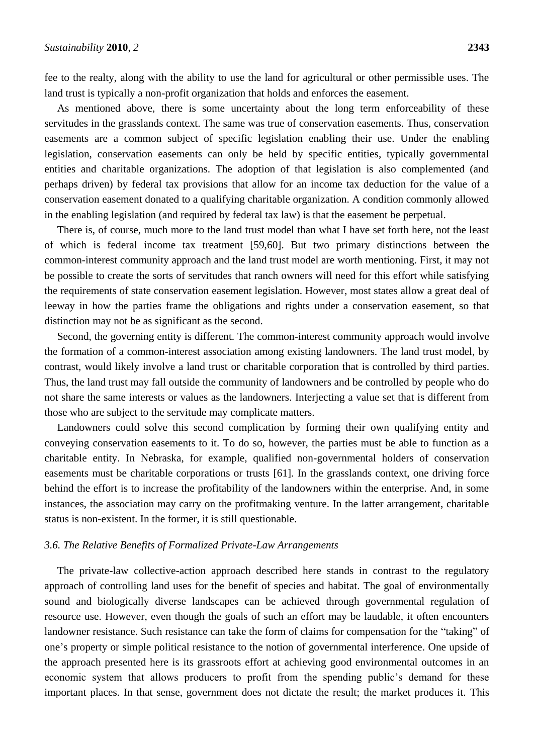fee to the realty, along with the ability to use the land for agricultural or other permissible uses. The land trust is typically a non-profit organization that holds and enforces the easement.

As mentioned above, there is some uncertainty about the long term enforceability of these servitudes in the grasslands context. The same was true of conservation easements. Thus, conservation easements are a common subject of specific legislation enabling their use. Under the enabling legislation, conservation easements can only be held by specific entities, typically governmental entities and charitable organizations. The adoption of that legislation is also complemented (and perhaps driven) by federal tax provisions that allow for an income tax deduction for the value of a conservation easement donated to a qualifying charitable organization. A condition commonly allowed in the enabling legislation (and required by federal tax law) is that the easement be perpetual.

There is, of course, much more to the land trust model than what I have set forth here, not the least of which is federal income tax treatment [59,60]. But two primary distinctions between the common-interest community approach and the land trust model are worth mentioning. First, it may not be possible to create the sorts of servitudes that ranch owners will need for this effort while satisfying the requirements of state conservation easement legislation. However, most states allow a great deal of leeway in how the parties frame the obligations and rights under a conservation easement, so that distinction may not be as significant as the second.

Second, the governing entity is different. The common-interest community approach would involve the formation of a common-interest association among existing landowners. The land trust model, by contrast, would likely involve a land trust or charitable corporation that is controlled by third parties. Thus, the land trust may fall outside the community of landowners and be controlled by people who do not share the same interests or values as the landowners. Interjecting a value set that is different from those who are subject to the servitude may complicate matters.

Landowners could solve this second complication by forming their own qualifying entity and conveying conservation easements to it. To do so, however, the parties must be able to function as a charitable entity. In Nebraska, for example, qualified non-governmental holders of conservation easements must be charitable corporations or trusts [61]. In the grasslands context, one driving force behind the effort is to increase the profitability of the landowners within the enterprise. And, in some instances, the association may carry on the profitmaking venture. In the latter arrangement, charitable status is non-existent. In the former, it is still questionable.

#### *3.6. The Relative Benefits of Formalized Private-Law Arrangements*

The private-law collective-action approach described here stands in contrast to the regulatory approach of controlling land uses for the benefit of species and habitat. The goal of environmentally sound and biologically diverse landscapes can be achieved through governmental regulation of resource use. However, even though the goals of such an effort may be laudable, it often encounters landowner resistance. Such resistance can take the form of claims for compensation for the "taking" of one's property or simple political resistance to the notion of governmental interference. One upside of the approach presented here is its grassroots effort at achieving good environmental outcomes in an economic system that allows producers to profit from the spending public's demand for these important places. In that sense, government does not dictate the result; the market produces it. This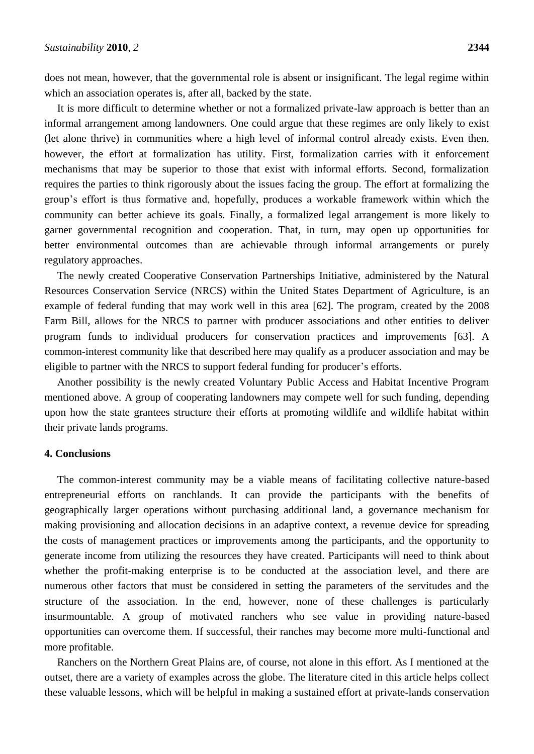does not mean, however, that the governmental role is absent or insignificant. The legal regime within which an association operates is, after all, backed by the state.

It is more difficult to determine whether or not a formalized private-law approach is better than an informal arrangement among landowners. One could argue that these regimes are only likely to exist (let alone thrive) in communities where a high level of informal control already exists. Even then, however, the effort at formalization has utility. First, formalization carries with it enforcement mechanisms that may be superior to those that exist with informal efforts. Second, formalization requires the parties to think rigorously about the issues facing the group. The effort at formalizing the group's effort is thus formative and, hopefully, produces a workable framework within which the community can better achieve its goals. Finally, a formalized legal arrangement is more likely to garner governmental recognition and cooperation. That, in turn, may open up opportunities for better environmental outcomes than are achievable through informal arrangements or purely regulatory approaches.

The newly created Cooperative Conservation Partnerships Initiative, administered by the Natural Resources Conservation Service (NRCS) within the United States Department of Agriculture, is an example of federal funding that may work well in this area [62]. The program, created by the 2008 Farm Bill, allows for the NRCS to partner with producer associations and other entities to deliver program funds to individual producers for conservation practices and improvements [63]. A common-interest community like that described here may qualify as a producer association and may be eligible to partner with the NRCS to support federal funding for producer's efforts.

Another possibility is the newly created Voluntary Public Access and Habitat Incentive Program mentioned above. A group of cooperating landowners may compete well for such funding, depending upon how the state grantees structure their efforts at promoting wildlife and wildlife habitat within their private lands programs.

#### **4. Conclusions**

The common-interest community may be a viable means of facilitating collective nature-based entrepreneurial efforts on ranchlands. It can provide the participants with the benefits of geographically larger operations without purchasing additional land, a governance mechanism for making provisioning and allocation decisions in an adaptive context, a revenue device for spreading the costs of management practices or improvements among the participants, and the opportunity to generate income from utilizing the resources they have created. Participants will need to think about whether the profit-making enterprise is to be conducted at the association level, and there are numerous other factors that must be considered in setting the parameters of the servitudes and the structure of the association. In the end, however, none of these challenges is particularly insurmountable. A group of motivated ranchers who see value in providing nature-based opportunities can overcome them. If successful, their ranches may become more multi-functional and more profitable.

Ranchers on the Northern Great Plains are, of course, not alone in this effort. As I mentioned at the outset, there are a variety of examples across the globe. The literature cited in this article helps collect these valuable lessons, which will be helpful in making a sustained effort at private-lands conservation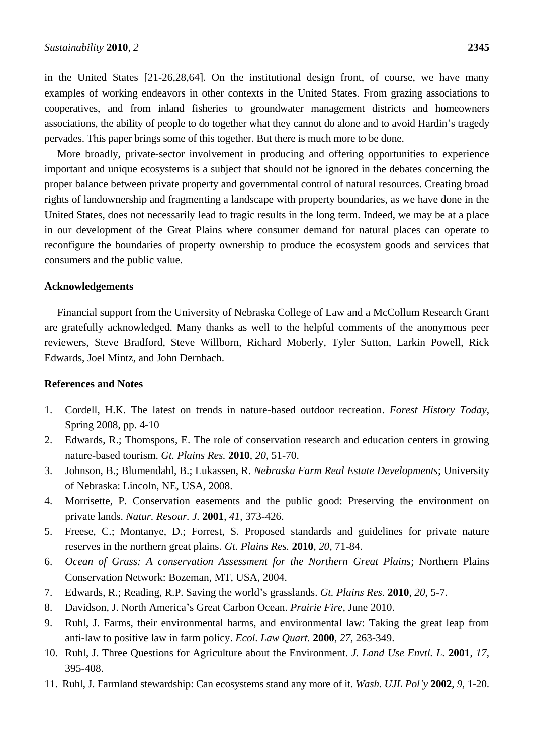in the United States [21-26,28,64]. On the institutional design front, of course, we have many examples of working endeavors in other contexts in the United States. From grazing associations to cooperatives, and from inland fisheries to groundwater management districts and homeowners associations, the ability of people to do together what they cannot do alone and to avoid Hardin's tragedy pervades. This paper brings some of this together. But there is much more to be done.

More broadly, private-sector involvement in producing and offering opportunities to experience important and unique ecosystems is a subject that should not be ignored in the debates concerning the proper balance between private property and governmental control of natural resources. Creating broad rights of landownership and fragmenting a landscape with property boundaries, as we have done in the United States, does not necessarily lead to tragic results in the long term. Indeed, we may be at a place in our development of the Great Plains where consumer demand for natural places can operate to reconfigure the boundaries of property ownership to produce the ecosystem goods and services that consumers and the public value.

#### **Acknowledgements**

Financial support from the University of Nebraska College of Law and a McCollum Research Grant are gratefully acknowledged. Many thanks as well to the helpful comments of the anonymous peer reviewers, Steve Bradford, Steve Willborn, Richard Moberly, Tyler Sutton, Larkin Powell, Rick Edwards, Joel Mintz, and John Dernbach.

#### **References and Notes**

- 1. Cordell, H.K. The latest on trends in nature-based outdoor recreation. *Forest History Today*, Spring 2008, pp. 4-10
- 2. Edwards, R.; Thomspons, E. The role of conservation research and education centers in growing nature-based tourism. *Gt. Plains Res.* **2010**, *20*, 51-70.
- 3. Johnson, B.; Blumendahl, B.; Lukassen, R. *Nebraska Farm Real Estate Developments*; University of Nebraska: Lincoln, NE, USA, 2008.
- 4. Morrisette, P. Conservation easements and the public good: Preserving the environment on private lands. *Natur. Resour. J.* **2001**, *41*, 373-426.
- 5. Freese, C.; Montanye, D.; Forrest, S. Proposed standards and guidelines for private nature reserves in the northern great plains. *Gt. Plains Res.* **2010**, *20*, 71-84.
- 6. *Ocean of Grass: A conservation Assessment for the Northern Great Plains*; Northern Plains Conservation Network: Bozeman, MT, USA, 2004.
- 7. Edwards, R.; Reading, R.P. Saving the world's grasslands. *Gt. Plains Res.* **2010**, *20*, 5-7.
- 8. Davidson, J. North America's Great Carbon Ocean. *Prairie Fire*, June 2010.
- 9. Ruhl, J. Farms, their environmental harms, and environmental law: Taking the great leap from anti-law to positive law in farm policy. *Ecol. Law Quart.* **2000**, *27*, 263-349.
- 10. Ruhl, J. Three Questions for Agriculture about the Environment. *J. Land Use Envtl. L.* **2001**, *17*, 395-408.
- 11. Ruhl, J. Farmland stewardship: Can ecosystems stand any more of it. *Wash. UJL Pol'y* **2002**, *9*, 1-20.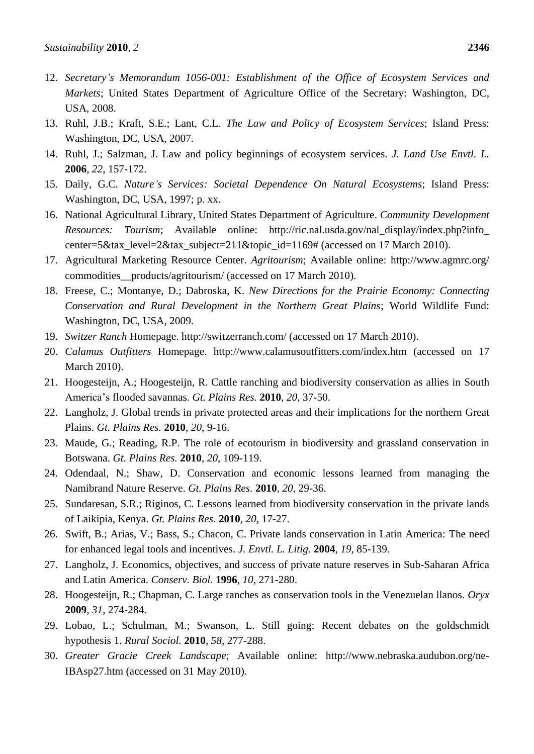- 12. *Secretary's Memorandum 1056-001: Establishment of the Office of Ecosystem Services and Markets*; United States Department of Agriculture Office of the Secretary: Washington, DC, USA, 2008.
- 13. Ruhl, J.B.; Kraft, S.E.; Lant, C.L. *The Law and Policy of Ecosystem Services*; Island Press: Washington, DC, USA, 2007.
- 14. Ruhl, J.; Salzman, J. Law and policy beginnings of ecosystem services. *J. Land Use Envtl. L.*  **2006**, *22*, 157-172.
- 15. Daily, G.C. *Nature's Services: Societal Dependence On Natural Ecosystems*; Island Press: Washington, DC, USA, 1997; p. xx.
- 16. National Agricultural Library, United States Department of Agriculture. *Community Development Resources: Tourism*; Available online: http://ric.nal.usda.gov/nal\_display/index.php?info\_ center=5&tax\_level=2&tax\_subject=211&topic\_id=1169# (accessed on 17 March 2010).
- 17. Agricultural Marketing Resource Center. *Agritourism*; Available online: http://www.agmrc.org/ commodities products/agritourism/ (accessed on 17 March 2010).
- 18. Freese, C.; Montanye, D.; Dabroska, K. *New Directions for the Prairie Economy: Connecting Conservation and Rural Development in the Northern Great Plains*; World Wildlife Fund: Washington, DC, USA, 2009.
- 19. *Switzer Ranch* Homepage. http://switzerranch.com/ (accessed on 17 March 2010).
- 20. *Calamus Outfitters* Homepage. http://www.calamusoutfitters.com/index.htm (accessed on 17 March 2010).
- 21. Hoogesteijn, A.; Hoogesteijn, R. Cattle ranching and biodiversity conservation as allies in South America's flooded savannas. *Gt. Plains Res.* **2010**, *20*, 37-50.
- 22. Langholz, J. Global trends in private protected areas and their implications for the northern Great Plains. *Gt. Plains Res.* **2010**, *20*, 9-16.
- 23. Maude, G.; Reading, R.P. The role of ecotourism in biodiversity and grassland conservation in Botswana. *Gt. Plains Res.* **2010**, *20*, 109-119.
- 24. Odendaal, N.; Shaw, D. Conservation and economic lessons learned from managing the Namibrand Nature Reserve. *Gt. Plains Res.* **2010**, *20*, 29-36.
- 25. Sundaresan, S.R.; Riginos, C. Lessons learned from biodiversity conservation in the private lands of Laikipia, Kenya. *Gt. Plains Res.* **2010**, *20*, 17-27.
- 26. Swift, B.; Arias, V.; Bass, S.; Chacon, C. Private lands conservation in Latin America: The need for enhanced legal tools and incentives. *J. Envtl. L. Litig.* **2004**, *19*, 85-139.
- 27. Langholz, J. Economics, objectives, and success of private nature reserves in Sub-Saharan Africa and Latin America. *Conserv. Biol.* **1996**, *10*, 271-280.
- 28. Hoogesteijn, R.; Chapman, C. Large ranches as conservation tools in the Venezuelan llanos. *Oryx*  **2009**, *31*, 274-284.
- 29. Lobao, L.; Schulman, M.; Swanson, L. Still going: Recent debates on the goldschmidt hypothesis 1. *Rural Sociol.* **2010**, *58*, 277-288.
- 30. *Greater Gracie Creek Landscape*; Available online: http://www.nebraska.audubon.org/ne-IBAsp27.htm (accessed on 31 May 2010).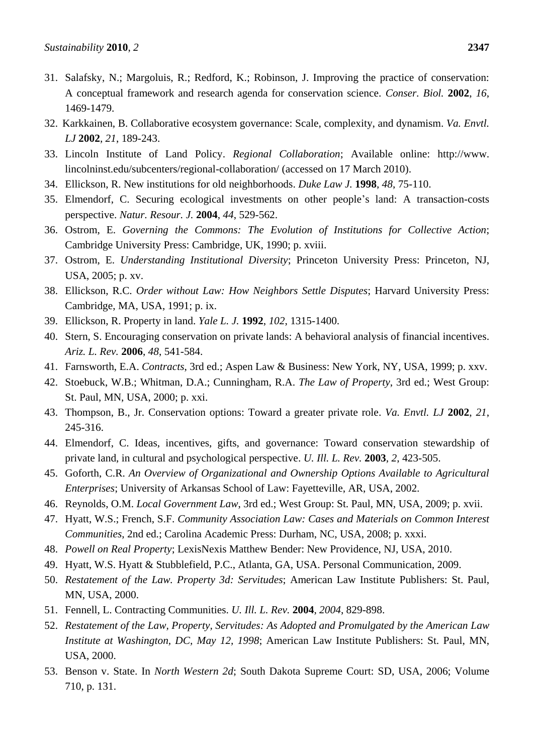- 31. Salafsky, N.; Margoluis, R.; Redford, K.; Robinson, J. Improving the practice of conservation: A conceptual framework and research agenda for conservation science. *Conser. Biol.* **2002**, *16*, 1469-1479.
- 32. Karkkainen, B. Collaborative ecosystem governance: Scale, complexity, and dynamism. *Va. Envtl. LJ* **2002**, *21*, 189-243.
- 33. Lincoln Institute of Land Policy. *Regional Collaboration*; Available online: http://www. lincolninst.edu/subcenters/regional-collaboration/ (accessed on 17 March 2010).
- 34. Ellickson, R. New institutions for old neighborhoods. *Duke Law J.* **1998**, *48*, 75-110.
- 35. Elmendorf, C. Securing ecological investments on other people's land: A transaction-costs perspective. *Natur. Resour. J.* **2004**, *44*, 529-562.
- 36. Ostrom, E. *Governing the Commons: The Evolution of Institutions for Collective Action*; Cambridge University Press: Cambridge, UK, 1990; p. xviii.
- 37. Ostrom, E. *Understanding Institutional Diversity*; Princeton University Press: Princeton, NJ, USA, 2005; p. xv.
- 38. Ellickson, R.C. *Order without Law: How Neighbors Settle Disputes*; Harvard University Press: Cambridge, MA, USA, 1991; p. ix.
- 39. Ellickson, R. Property in land. *Yale L. J.* **1992**, *102*, 1315-1400.
- 40. Stern, S. Encouraging conservation on private lands: A behavioral analysis of financial incentives. *Ariz. L. Rev.* **2006**, *48*, 541-584.
- 41. Farnsworth, E.A. *Contracts*, 3rd ed.; Aspen Law & Business: New York, NY, USA, 1999; p. xxv.
- 42. Stoebuck, W.B.; Whitman, D.A.; Cunningham, R.A. *The Law of Property*, 3rd ed.; West Group: St. Paul, MN, USA, 2000; p. xxi.
- 43. Thompson, B., Jr. Conservation options: Toward a greater private role. *Va. Envtl. LJ* **2002**, *21*, 245-316.
- 44. Elmendorf, C. Ideas, incentives, gifts, and governance: Toward conservation stewardship of private land, in cultural and psychological perspective. *U. Ill. L. Rev.* **2003**, *2*, 423-505.
- 45. Goforth, C.R. *An Overview of Organizational and Ownership Options Available to Agricultural Enterprises*; University of Arkansas School of Law: Fayetteville, AR, USA, 2002.
- 46. Reynolds, O.M. *Local Government Law*, 3rd ed.; West Group: St. Paul, MN, USA, 2009; p. xvii.
- 47. Hyatt, W.S.; French, S.F. *Community Association Law: Cases and Materials on Common Interest Communities*, 2nd ed.; Carolina Academic Press: Durham, NC, USA, 2008; p. xxxi.
- 48. *Powell on Real Property*; LexisNexis Matthew Bender: New Providence, NJ, USA, 2010.
- 49. Hyatt, W.S. Hyatt & Stubblefield, P.C., Atlanta, GA, USA. Personal Communication, 2009.
- 50. *Restatement of the Law. Property 3d: Servitudes*; American Law Institute Publishers: St. Paul, MN, USA, 2000.
- 51. Fennell, L. Contracting Communities. *U. Ill. L. Rev.* **2004**, *2004*, 829-898.
- 52. *Restatement of the Law, Property, Servitudes: As Adopted and Promulgated by the American Law Institute at Washington, DC, May 12, 1998*; American Law Institute Publishers: St. Paul, MN, USA, 2000.
- 53. Benson v. State. In *North Western 2d*; South Dakota Supreme Court: SD, USA, 2006; Volume 710, p. 131.